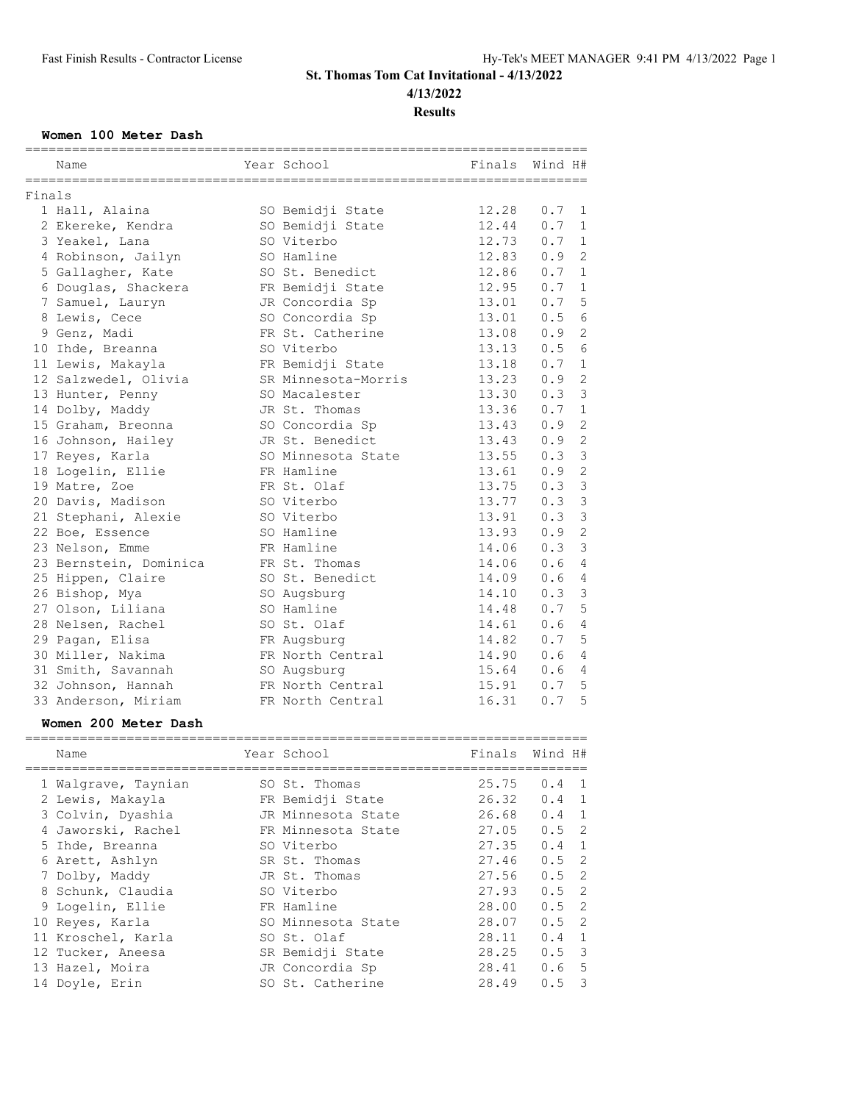# **St. Thomas Tom Cat Invitational - 4/13/2022 4/13/2022**

**Results**

### **Women 100 Meter Dash**

|        | =============================<br>Name | Year School         | Finals | Wind H#               |  |
|--------|---------------------------------------|---------------------|--------|-----------------------|--|
|        |                                       |                     |        |                       |  |
| Finals |                                       |                     |        |                       |  |
|        | 1 Hall, Alaina                        | SO Bemidji State    | 12.28  | 0.7<br>1              |  |
|        | 2 Ekereke, Kendra                     | SO Bemidji State    | 12.44  | 0.7<br>$\mathbf{1}$   |  |
|        | 3 Yeakel, Lana                        | SO Viterbo          | 12.73  | 0.7<br>$\mathbf{1}$   |  |
|        | 4 Robinson, Jailyn                    | SO Hamline          | 12.83  | $\mathbf{2}$<br>0.9   |  |
|        | 5 Gallagher, Kate                     | SO St. Benedict     | 12.86  | $\mathbf{1}$<br>0.7   |  |
|        | 6 Douglas, Shackera                   | FR Bemidji State    | 12.95  | 0.7<br>$\mathbf{1}$   |  |
|        | 7 Samuel, Lauryn                      | JR Concordia Sp     | 13.01  | 5<br>0.7              |  |
|        | 8 Lewis, Cece                         | SO Concordia Sp     | 13.01  | $\epsilon$<br>0.5     |  |
|        | 9 Genz, Madi                          | FR St. Catherine    | 13.08  | $\overline{2}$<br>0.9 |  |
|        | 10 Ihde, Breanna                      | SO Viterbo          | 13.13  | 6<br>0.5              |  |
|        | 11 Lewis, Makayla                     | FR Bemidji State    | 13.18  | $\mathbf 1$<br>0.7    |  |
|        | 12 Salzwedel, Olivia                  | SR Minnesota-Morris | 13.23  | $\mathbf{2}$<br>0.9   |  |
|        | 13 Hunter, Penny                      | SO Macalester       | 13.30  | $\mathfrak{Z}$<br>0.3 |  |
|        | 14 Dolby, Maddy                       | JR St. Thomas       | 13.36  | $\mathbf{1}$<br>0.7   |  |
|        | 15 Graham, Breonna                    | SO Concordia Sp     | 13.43  | $\overline{c}$<br>0.9 |  |
|        | 16 Johnson, Hailey                    | JR St. Benedict     | 13.43  | $\mathbf{2}$<br>0.9   |  |
|        | 17 Reyes, Karla                       | SO Minnesota State  | 13.55  | $\mathfrak{Z}$<br>0.3 |  |
|        | 18 Logelin, Ellie                     | FR Hamline          | 13.61  | $\mathbf{2}$<br>0.9   |  |
|        | 19 Matre, Zoe                         | FR St. Olaf         | 13.75  | $\mathbf{3}$<br>0.3   |  |
|        | 20 Davis, Madison                     | SO Viterbo          | 13.77  | 3<br>0.3              |  |
|        | 21 Stephani, Alexie                   | SO Viterbo          | 13.91  | $\mathbf{3}$<br>0.3   |  |
|        | 22 Boe, Essence                       | SO Hamline          | 13.93  | $\overline{c}$<br>0.9 |  |
|        | 23 Nelson, Emme                       | FR Hamline          | 14.06  | $\mathfrak{Z}$<br>0.3 |  |
|        | 23 Bernstein, Dominica                | FR St. Thomas       | 14.06  | $\overline{4}$<br>0.6 |  |
|        | 25 Hippen, Claire                     | SO St. Benedict     | 14.09  | 0.6<br>$\overline{4}$ |  |
|        | 26 Bishop, Mya                        | SO Augsburg         | 14.10  | 3<br>0.3              |  |
|        | 27 Olson, Liliana                     | SO Hamline          | 14.48  | 5<br>0.7              |  |
|        | 28 Nelsen, Rachel                     | SO St. Olaf         | 14.61  | 0.6<br>$\overline{4}$ |  |
|        | 29 Pagan, Elisa                       | FR Augsburg         | 14.82  | 5<br>0.7              |  |
|        | 30 Miller, Nakima                     | FR North Central    | 14.90  | 0.6<br>4              |  |
|        | 31 Smith, Savannah                    | SO Augsburg         | 15.64  | 0.6<br>4              |  |
|        | 32 Johnson, Hannah                    | FR North Central    | 15.91  | 5<br>0.7              |  |
|        | 33 Anderson, Miriam                   | FR North Central    | 16.31  | $\overline{5}$<br>0.7 |  |

### **Women 200 Meter Dash**

| Name                | Year School        | Finals | Wind H#          |
|---------------------|--------------------|--------|------------------|
| 1 Walgrave, Taynian | SO St. Thomas      | 25.75  | $0.4 \quad 1$    |
| 2 Lewis, Makayla    | FR Bemidji State   | 26.32  | $0.4 \quad 1$    |
| 3 Colvin, Dyashia   | JR Minnesota State | 26.68  | $0.4 \quad 1$    |
| 4 Jaworski, Rachel  | FR Minnesota State | 27.05  | $0.5 \quad 2$    |
| 5 Ihde, Breanna     | SO Viterbo         | 27.35  | $0.4 \quad 1$    |
| 6 Arett, Ashlyn     | SR St. Thomas      | 27.46  | $0.5$ 2          |
| 7 Dolby, Maddy      | JR St. Thomas      | 27.56  | $0.5$ 2          |
| 8 Schunk, Claudia   | SO Viterbo         | 27.93  | $0.5 \quad 2$    |
| 9 Logelin, Ellie    | FR Hamline         | 28.00  | $0.5$ 2          |
| 10 Reyes, Karla     | SO Minnesota State | 28.07  | $0.5 \quad 2$    |
| 11 Kroschel, Karla  | SO St. Olaf        | 28.11  | $0.4 \quad 1$    |
| 12 Tucker, Aneesa   | SR Bemidji State   | 28.25  | $0.5 \quad 3$    |
| 13 Hazel, Moira     | JR Concordia Sp    | 28.41  | 0.6 <sub>5</sub> |
| 14 Doyle, Erin      | SO St. Catherine   | 28.49  | $0.5 \quad 3$    |
|                     |                    |        |                  |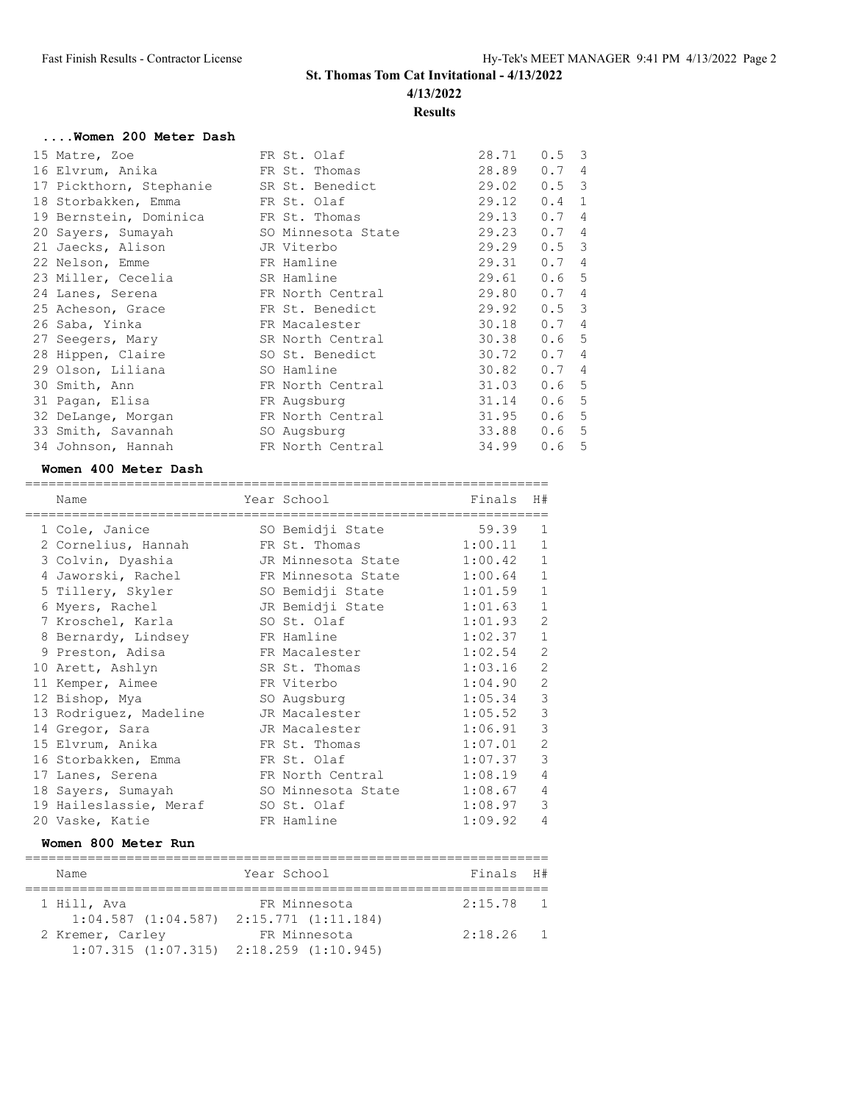# **St. Thomas Tom Cat Invitational - 4/13/2022 4/13/2022 Results**

# **....Women 200 Meter Dash**

| 15 Matre, Zoe                           | FR St. Olaf      | 28.71 | $0.5 \quad 3$         |
|-----------------------------------------|------------------|-------|-----------------------|
| 16 Elvrum, Anika                        | FR St. Thomas    | 28.89 | 0.7<br>$\overline{4}$ |
| 17 Pickthorn, Stephanie SR St. Benedict |                  | 29.02 | $0.5 \quad 3$         |
| 18 Storbakken, Emma FR St. Olaf         |                  | 29.12 | 0.4<br>$\mathbf{1}$   |
| 19 Bernstein, Dominica FR St. Thomas    |                  | 29.13 | 0.7<br>$\overline{4}$ |
| 20 Sayers, Sumayah SO Minnesota State   |                  | 29.23 | 0.7<br>$\overline{4}$ |
| 21 Jaecks, Alison JR Viterbo            |                  | 29.29 | $0.5 \quad 3$         |
| 22 Nelson, Emme                         | FR Hamline       | 29.31 | 0.7<br>$\overline{4}$ |
| 23 Miller, Cecelia                      | SR Hamline       | 29.61 | 0.6<br>5              |
| 24 Lanes, Serena                        | FR North Central | 29.80 | 0.7<br>4              |
| 25 Acheson, Grace                       | FR St. Benedict  | 29.92 | $0.5 \quad 3$         |
| 26 Saba, Yinka                          | FR Macalester    | 30.18 | 0.7<br>4              |
| 27 Seegers, Mary                        | SR North Central | 30.38 | 0.65                  |
| 28 Hippen, Claire                       | SO St. Benedict  | 30.72 | 0.7<br>$\overline{4}$ |
| 29 Olson, Liliana                       | SO Hamline       | 30.82 | 0.7<br>$\overline{4}$ |
| 30 Smith, Ann                           | FR North Central | 31.03 | 0.6<br>-5             |
| 31 Pagan, Elisa                         | FR Augsburg      | 31.14 | 5<br>0.6              |
| 32 DeLange, Morgan                      | FR North Central | 31.95 | 5<br>0.6              |
| 33 Smith, Savannah                      | SO Augsburg      | 33.88 | 5<br>0.6              |
| 34 Johnson, Hannah                      | FR North Central | 34.99 | 5<br>0.6              |

## **Women 400 Meter Dash**

| Name                   | Year School        | Finals  | H#             |
|------------------------|--------------------|---------|----------------|
| 1 Cole, Janice         | SO Bemidji State   | 59.39   | $\mathbf{1}$   |
| 2 Cornelius, Hannah    | FR St. Thomas      | 1:00.11 | $\mathbf{1}$   |
| 3 Colvin, Dyashia      | JR Minnesota State | 1:00.42 | $\mathbf{1}$   |
| 4 Jaworski, Rachel     | FR Minnesota State | 1:00.64 | $\,$ 1         |
| 5 Tillery, Skyler      | SO Bemidji State   | 1:01.59 | $\mathbf 1$    |
| 6 Myers, Rachel        | JR Bemidji State   | 1:01.63 | $\mathbf 1$    |
| 7 Kroschel, Karla      | SO St. Olaf        | 1:01.93 | $\overline{c}$ |
| 8 Bernardy, Lindsey    | FR Hamline         | 1:02.37 | $\mathbf{1}$   |
| 9 Preston, Adisa       | FR Macalester      | 1:02.54 | $\overline{2}$ |
| 10 Arett, Ashlyn       | SR St. Thomas      | 1:03.16 | $\overline{c}$ |
| 11 Kemper, Aimee       | FR Viterbo         | 1:04.90 | $\overline{c}$ |
| 12 Bishop, Mya         | SO Augsburg        | 1:05.34 | $\mathfrak{Z}$ |
| 13 Rodriguez, Madeline | JR Macalester      | 1:05.52 | 3              |
| 14 Gregor, Sara        | JR Macalester      | 1:06.91 | 3              |
| 15 Elvrum, Anika       | FR St. Thomas      | 1:07.01 | $\overline{2}$ |
| 16 Storbakken, Emma    | FR St. Olaf        | 1:07.37 | $\mathcal{E}$  |
| 17 Lanes, Serena       | FR North Central   | 1:08.19 | $\overline{4}$ |
| 18 Sayers, Sumayah     | SO Minnesota State | 1:08.67 | $\overline{4}$ |
| 19 Haileslassie, Meraf | SO St. Olaf        | 1:08.97 | $\mathcal{E}$  |
| 20 Vaske, Katie        | FR Hamline         | 1:09.92 | $\sqrt{4}$     |

## **Women 800 Meter Run**

| Name                                            | Year School  | Finals H#   |  |  |  |  |  |  |
|-------------------------------------------------|--------------|-------------|--|--|--|--|--|--|
|                                                 |              |             |  |  |  |  |  |  |
| 1 Hill, Ava                                     | FR Minnesota | $2:15.78$ 1 |  |  |  |  |  |  |
| $1:04.587$ $(1:04.587)$ $2:15.771$ $(1:11.184)$ |              |             |  |  |  |  |  |  |
| 2 Kremer, Carley                                | FR Minnesota | $2:18.26$ 1 |  |  |  |  |  |  |
| $1:07.315$ $(1:07.315)$ $2:18.259$ $(1:10.945)$ |              |             |  |  |  |  |  |  |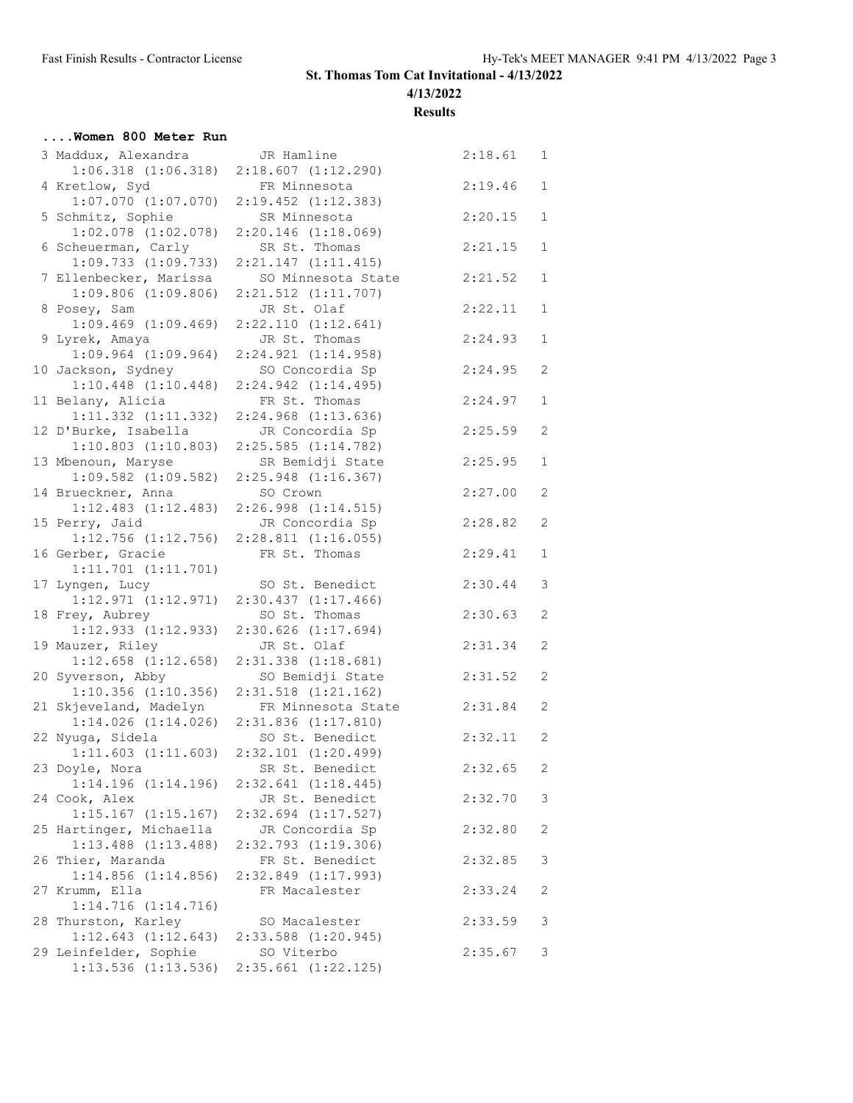**4/13/2022**

**Results**

## **....Women 800 Meter Run**

| 3 Maddux, Alexandra                           | JR Hamline                                 | 2:18.61 | $\mathbf{1}$   |
|-----------------------------------------------|--------------------------------------------|---------|----------------|
| $1:06.318$ $(1:06.318)$<br>4 Kretlow, Syd     | $2:18.607$ $(1:12.290)$<br>FR Minnesota    | 2:19.46 | 1              |
| $1:07.070$ $(1:07.070)$                       | $2:19.452$ $(1:12.383)$                    |         |                |
| 5 Schmitz, Sophie<br>$1:02.078$ $(1:02.078)$  | SR Minnesota<br>$2:20.146$ $(1:18.069)$    | 2:20.15 | $\mathbf{1}$   |
| 6 Scheuerman, Carly                           | SR St. Thomas                              | 2:21.15 | $\mathbf 1$    |
| 1:09.733(1:09.733)                            | 2:21.147(1:11.415)                         |         |                |
| 7 Ellenbecker, Marissa                        | SO Minnesota State                         | 2:21.52 | 1              |
| $1:09.806$ $(1:09.806)$<br>8 Posey, Sam       | $2:21.512$ $(1:11.707)$<br>JR St. Olaf     | 2:22.11 | $\mathbf 1$    |
| $1:09.469$ $(1:09.469)$                       | 2:22.110 (1:12.641)                        |         |                |
| 9 Lyrek, Amaya                                | JR St. Thomas                              | 2:24.93 | $\mathbf{1}$   |
| $1:09.964$ $(1:09.964)$                       | 2:24.921(1:14.958)                         |         |                |
| 10 Jackson, Sydney<br>$1:10.448$ $(1:10.448)$ | SO Concordia Sp<br>2:24.942 (1:14.495)     | 2:24.95 | 2              |
| 11 Belany, Alicia                             | FR St. Thomas                              | 2:24.97 | $\mathbf 1$    |
| 1:11.332 (1:11.332)                           | $2:24.968$ $(1:13.636)$                    |         |                |
| 12 D'Burke, Isabella                          | JR Concordia Sp                            | 2:25.59 | 2              |
| $1:10.803$ $(1:10.803)$                       | $2:25.585$ $(1:14.782)$                    |         |                |
| 13 Mbenoun, Maryse                            | SR Bemidji State                           | 2:25.95 | 1              |
| $1:09.582$ $(1:09.582)$<br>14 Brueckner, Anna | $2:25.948$ $(1:16.367)$<br>SO Crown        | 2:27.00 | 2              |
| 1:12.483 (1:12.483)                           | $2:26.998$ $(1:14.515)$                    |         |                |
| 15 Perry, Jaid                                | JR Concordia Sp                            | 2:28.82 | 2              |
| $1:12.756$ $(1:12.756)$                       | $2:28.811$ $(1:16.055)$                    |         |                |
| 16 Gerber, Gracie                             | FR St. Thomas                              | 2:29.41 | 1              |
| $1:11.701$ $(1:11.701)$                       |                                            |         | 3              |
| 17 Lyngen, Lucy<br>1:12.971(1:12.971)         | SO St. Benedict<br>$2:30.437$ $(1:17.466)$ | 2:30.44 |                |
| 18 Frey, Aubrey                               | SO St. Thomas                              | 2:30.63 | 2              |
| 1:12.933 (1:12.933)                           | $2:30.626$ $(1:17.694)$                    |         |                |
| 19 Mauzer, Riley                              | JR St. Olaf                                | 2:31.34 | 2              |
| $1:12.658$ $(1:12.658)$                       | $2:31.338$ $(1:18.681)$                    |         |                |
| 20 Syverson, Abby<br>$1:10.356$ $(1:10.356)$  | SO Bemidji State<br>2:31.518 (1:21.162)    | 2:31.52 | 2              |
| 21 Skjeveland, Madelyn                        | FR Minnesota State                         | 2:31.84 | 2              |
| $1:14.026$ $(1:14.026)$                       | $2:31.836$ $(1:17.810)$                    |         |                |
| 22 Nyuga, Sidela                              | SO St. Benedict                            | 2:32.11 | 2              |
| 1:11.603(1:11.603)                            | 2:32.101 (1:20.499)                        |         |                |
| 23 Doyle, Nora                                | SR St. Benedict                            | 2:32.65 | $\overline{c}$ |
| 1:14.196 (1:14.196)<br>24 Cook, Alex          | 2:32.641 (1:18.445)<br>JR St. Benedict     | 2:32.70 | 3              |
| $1:15.167$ $(1:15.167)$                       | $2:32.694$ $(1:17.527)$                    |         |                |
| 25 Hartinger, Michaella                       | JR Concordia Sp                            | 2:32.80 | 2              |
| $1:13.488$ $(1:13.488)$                       | 2:32.793 (1:19.306)                        |         |                |
| 26 Thier, Maranda                             | FR St. Benedict                            | 2:32.85 | 3              |
| $1:14.856$ $(1:14.856)$                       | 2:32.849 (1:17.993)                        |         |                |
| 27 Krumm, Ella<br>1:14.716(1:14.716)          | FR Macalester                              | 2:33.24 | 2              |
| 28 Thurston, Karley                           | SO Macalester                              | 2:33.59 | 3              |
| $1:12.643$ $(1:12.643)$                       | 2:33.588 (1:20.945)                        |         |                |
| 29 Leinfelder, Sophie                         | SO Viterbo                                 | 2:35.67 | 3              |
| $1:13.536$ $(1:13.536)$                       | 2:35.661 (1:22.125)                        |         |                |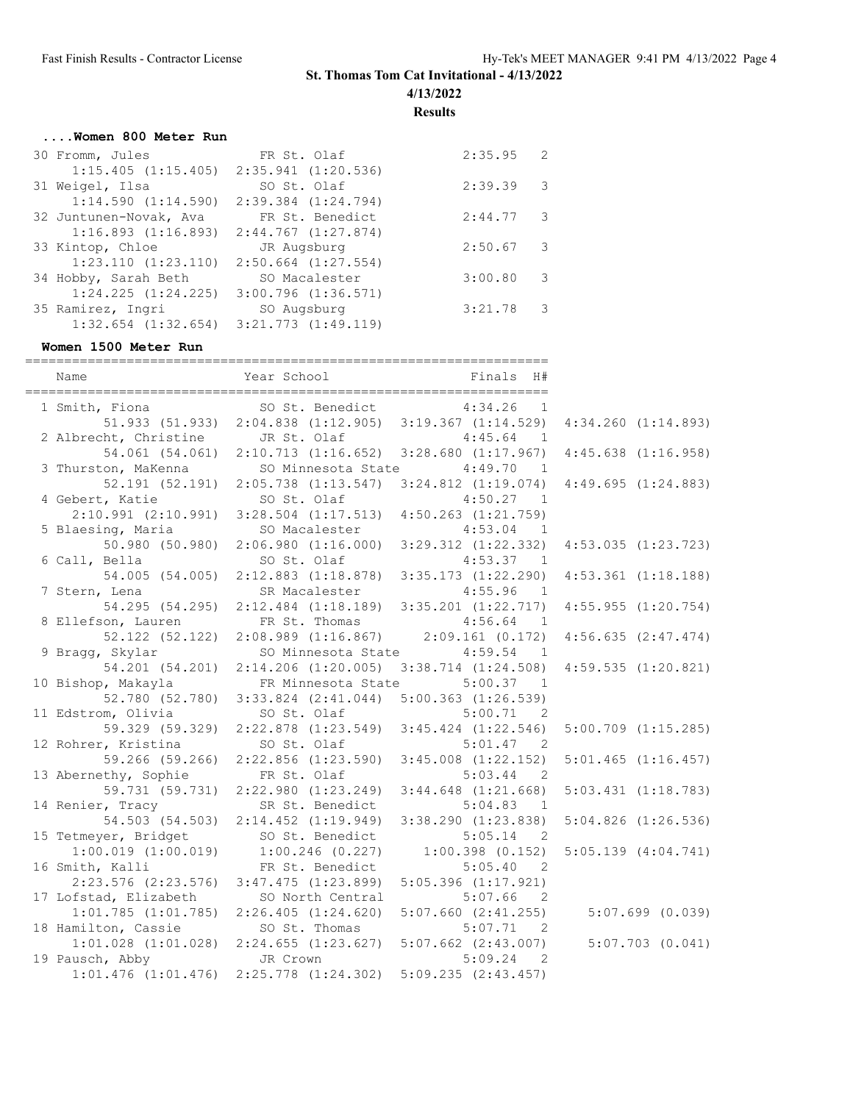**4/13/2022**

**Results**

## **....Women 800 Meter Run**

| 30 Fromm, Jules                                 | FR St. Olaf             | 2:35.95 | 2   |
|-------------------------------------------------|-------------------------|---------|-----|
| $1:15.405$ $(1:15.405)$ $2:35.941$ $(1:20.536)$ |                         |         |     |
| 31 Weigel, Ilsa                                 | SO St. Olaf             | 2:39.39 | 3   |
| 1:14.590(1:14.590)                              | $2:39.384$ $(1:24.794)$ |         |     |
| 32 Juntunen-Novak, Ava                          | FR St. Benedict         | 2:44.77 | - 3 |
| 1:16.893(1:16.893)                              | $2:44.767$ $(1:27.874)$ |         |     |
| 33 Kintop, Chloe                                | JR Augsburg             | 2:50.67 | 3   |
| $1:23.110$ $(1:23.110)$                         | $2:50.664$ $(1:27.554)$ |         |     |
| 34 Hobby, Sarah Beth                            | SO Macalester           | 3:00.80 | 3   |
| $1:24.225$ $(1:24.225)$                         | $3:00.796$ $(1:36.571)$ |         |     |
| 35 Ramirez, Ingri                               | SO Augsburg             | 3:21.78 | -3  |
| $1:32.654$ $(1:32.654)$                         | $3:21.773$ $(1:49.119)$ |         |     |

### **Women 1500 Meter Run**

| Name                    | Year School<br>Finals<br>H#                             |                                       |                         |
|-------------------------|---------------------------------------------------------|---------------------------------------|-------------------------|
| 1 Smith, Fiona          | SO St. Benedict                                         | 4:34.26<br>1                          |                         |
|                         | 51.933 (51.933) 2:04.838 (1:12.905) 3:19.367 (1:14.529) |                                       | $4:34.260$ $(1:14.893)$ |
| 2 Albrecht, Christine   | JR St. Olaf                                             | 4:45.64<br>$\mathbf{1}$               |                         |
| 54.061 (54.061)         | $2:10.713$ $(1:16.652)$ $3:28.680$ $(1:17.967)$         |                                       | $4:45.638$ $(1:16.958)$ |
| 3 Thurston, MaKenna     | SO Minnesota State                                      | 4:49.70<br>$\overline{1}$             |                         |
| 52.191(52.191)          | $2:05.738$ $(1:13.547)$                                 | $3:24.812$ $(1:19.074)$               | 4:49.695(1:24.883)      |
| 4 Gebert, Katie         | SO St. Olaf                                             | 4:50.27<br>$\overline{1}$             |                         |
| $2:10.991$ $(2:10.991)$ | $3:28.504$ $(1:17.513)$                                 | $4:50.263$ $(1:21.759)$               |                         |
| 5 Blaesing, Maria       | SO Macalester                                           | 4:53.04<br>$\overline{1}$             |                         |
| 50.980 (50.980)         | 2:06.980(1:16.000)                                      | $3:29.312$ $(1:22.332)$               | $4:53.035$ $(1:23.723)$ |
| 6 Call, Bella           | SO St. Olaf                                             | 4:53.37<br>$\overline{1}$             |                         |
| 54.005 (54.005)         | $2:12.883$ $(1:18.878)$                                 | $3:35.173$ $(1:22.290)$               | $4:53.361$ $(1:18.188)$ |
| 7 Stern, Lena           | SR Macalester                                           | 4:55.96<br>$\overline{1}$             |                         |
| 54.295 (54.295)         | $2:12.484$ $(1:18.189)$ $3:35.201$ $(1:22.717)$         |                                       | 4:55.955(1:20.754)      |
| 8 Ellefson, Lauren      | FR St. Thomas                                           | 4:56.64<br>$\mathbf{1}$               |                         |
| 52.122 (52.122)         | $2:08.989$ $(1:16.867)$                                 | 2:09.161(0.172)                       | $4:56.635$ $(2:47.474)$ |
| 9 Bragg, Skylar         | SO Minnesota State                                      | 4:59.54<br>$\overline{1}$             |                         |
| 54.201 (54.201)         | $2:14.206$ $(1:20.005)$                                 | $3:38.714$ $(1:24.508)$               | $4:59.535$ $(1:20.821)$ |
| 10 Bishop, Makayla      | FR Minnesota State                                      | 5:00.37<br>$\overline{1}$             |                         |
| 52.780 (52.780)         | $3:33.824$ $(2:41.044)$                                 | $5:00.363$ $(1:26.539)$               |                         |
| 11 Edstrom, Olivia      | SO St. Olaf                                             | 5:00.71<br>2                          |                         |
| 59.329 (59.329)         | $2:22.878$ $(1:23.549)$                                 | $3:45.424$ $(1:22.546)$               | $5:00.709$ $(1:15.285)$ |
| 12 Rohrer, Kristina     | SO St. Olaf                                             | 5:01.47<br>$\overline{2}$             |                         |
| 59.266 (59.266)         | $2:22.856$ $(1:23.590)$                                 | $3:45.008$ $(1:22.152)$               | $5:01.465$ $(1:16.457)$ |
| 13 Abernethy, Sophie    | FR St. Olaf                                             | 5:03.44<br>$\overline{2}$             |                         |
| 59.731 (59.731)         | 2:22.980 (1:23.249)                                     | $3:44.648$ $(1:21.668)$               | $5:03.431$ $(1:18.783)$ |
| 14 Renier, Tracy        | SR St. Benedict                                         | 5:04.83<br>$\overline{1}$             |                         |
| 54.503 (54.503)         | 2:14.452 (1:19.949)                                     | $3:38.290$ $(1:23.838)$               | $5:04.826$ $(1:26.536)$ |
| 15 Tetmeyer, Bridget    | SO St. Benedict                                         | 5:05.14<br>$\overline{2}$             |                         |
| $1:00.019$ $(1:00.019)$ | $1:00.246$ (0.227)                                      | $1:00.398$ $(0.152)$                  | $5:05.139$ $(4:04.741)$ |
| 16 Smith, Kalli         | FR St. Benedict                                         | 5:05.40<br>$\overline{\phantom{0}}^2$ |                         |
| $2:23.576$ $(2:23.576)$ | $3:47.475$ $(1:23.899)$                                 | $5:05.396$ $(1:17.921)$               |                         |
| 17 Lofstad, Elizabeth   | SO North Central                                        | 5:07.66<br>$\overline{2}$             |                         |
| $1:01.785$ $(1:01.785)$ | $2:26.405$ $(1:24.620)$                                 | $5:07.660$ $(2:41.255)$               | $5:07.699$ (0.039)      |
| 18 Hamilton, Cassie     | SO St. Thomas                                           | 5:07.71<br>$\overline{2}$             |                         |
|                         | $1:01.028$ $(1:01.028)$ $2:24.655$ $(1:23.627)$         | $5:07.662$ $(2:43.007)$               | $5:07.703$ $(0.041)$    |
| 19 Pausch, Abby         | JR Crown                                                | 5:09.24<br>$\overline{2}$             |                         |
| $1:01.476$ $(1:01.476)$ | $2:25.778$ $(1:24.302)$                                 | $5:09.235$ $(2:43.457)$               |                         |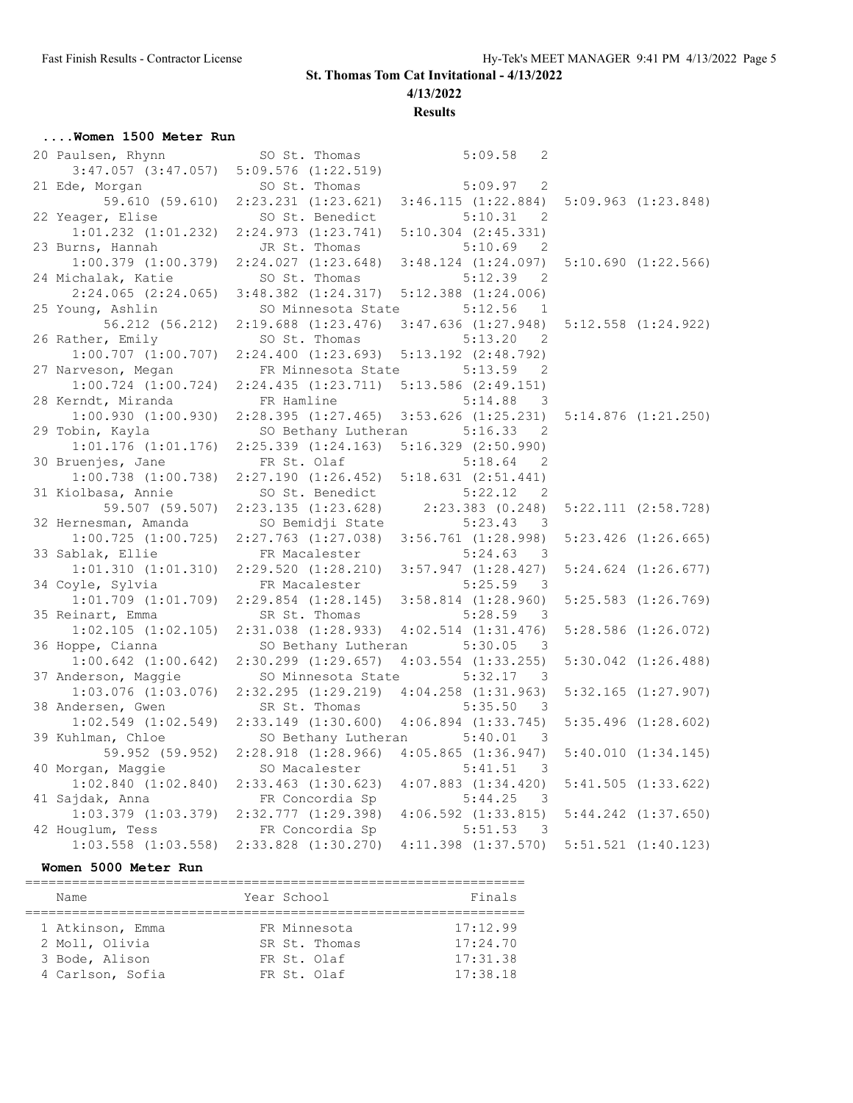### **4/13/2022**

### **Results**

## **....Women 1500 Meter Run**

| 20 Paulsen, Rhynn       | SO St. Thomas           | 5:09.58<br>2                          |                         |
|-------------------------|-------------------------|---------------------------------------|-------------------------|
| $3:47.057$ $(3:47.057)$ | $5:09.576$ $(1:22.519)$ |                                       |                         |
| 21 Ede, Morgan          | SO St. Thomas           | 5:09.97<br>2                          |                         |
| 59.610 (59.610)         | $2:23.231$ $(1:23.621)$ | 3:46.115(1:22.884)                    | $5:09.963$ $(1:23.848)$ |
| 22 Yeager, Elise        | SO St. Benedict         | 5:10.31<br>$\overline{\phantom{0}}^2$ |                         |
| $1:01.232$ $(1:01.232)$ | 2:24.973 (1:23.741)     | $5:10.304$ $(2:45.331)$               |                         |
| 23 Burns, Hannah        | JR St. Thomas           | 5:10.69<br>2                          |                         |
| $1:00.379$ $(1:00.379)$ | 2:24.027(1:23.648)      | $3:48.124$ $(1:24.097)$               | 5:10.690(1:22.566)      |
| 24 Michalak, Katie      | SO St. Thomas           | 5:12.39<br>$\overline{\phantom{0}}^2$ |                         |
| $2:24.065$ $(2:24.065)$ | $3:48.382$ $(1:24.317)$ | $5:12.388$ $(1:24.006)$               |                         |
| 25 Young, Ashlin        | SO Minnesota State      | 5:12.56<br>1                          |                         |
| 56.212 (56.212)         | $2:19.688$ $(1:23.476)$ | $3:47.636$ $(1:27.948)$               | $5:12.558$ $(1:24.922)$ |
| 26 Rather, Emily        | SO St. Thomas           | 5:13.20<br>2                          |                         |
| $1:00.707$ $(1:00.707)$ | 2:24.400(1:23.693)      | $5:13.192$ $(2:48.792)$               |                         |
| 27 Narveson, Megan      | FR Minnesota State      | 5:13.59<br>-2                         |                         |
| $1:00.724$ $(1:00.724)$ | 2:24.435(1:23.711)      | $5:13.586$ $(2:49.151)$               |                         |
| 28 Kerndt, Miranda      | FR Hamline              | 5:14.88<br>3                          |                         |
| 1:00.930(1:00.930)      | 2:28.395(1:27.465)      | $3:53.626$ $(1:25.231)$               | 5:14.876(1:21.250)      |
| 29 Tobin, Kayla         | SO Bethany Lutheran     | 5:16.33<br>$\overline{\phantom{0}}^2$ |                         |
| $1:01.176$ $(1:01.176)$ | $2:25.339$ $(1:24.163)$ | $5:16.329$ $(2:50.990)$               |                         |
| 30 Bruenjes, Jane       | FR St. Olaf             | 5:18.64<br>-2                         |                         |
| $1:00.738$ $(1:00.738)$ | 2:27.190(1:26.452)      | 5:18.631 (2:51.441)                   |                         |
| 31 Kiolbasa, Annie      | SO St. Benedict         | 5:22.12<br>2                          |                         |
| 59.507 (59.507)         | 2:23.135(1:23.628)      | $2:23.383$ $(0.248)$                  | $5:22.111$ $(2:58.728)$ |
| 32 Hernesman, Amanda    | SO Bemidji State        | 5:23.43<br>3                          |                         |
| $1:00.725$ $(1:00.725)$ | $2:27.763$ $(1:27.038)$ | $3:56.761$ $(1:28.998)$               | $5:23.426$ $(1:26.665)$ |
| 33 Sablak, Ellie        | FR Macalester           | 5:24.63<br>$\overline{\phantom{a}}$   |                         |
| 1:01.310 (1:01.310)     | 2:29.520(1:28.210)      | $3:57.947$ $(1:28.427)$               | $5:24.624$ $(1:26.677)$ |
| 34 Coyle, Sylvia        | FR Macalester           | 5:25.59<br>-3                         |                         |
| $1:01.709$ $(1:01.709)$ | 2:29.854 (1:28.145)     | $3:58.814$ $(1:28.960)$               | $5:25.583$ $(1:26.769)$ |
| 35 Reinart, Emma        | SR St. Thomas           | 5:28.59<br>$\overline{\phantom{a}}$   |                         |
| $1:02.105$ $(1:02.105)$ | 2:31.038 (1:28.933)     | $4:02.514$ $(1:31.476)$               | $5:28.586$ $(1:26.072)$ |
| 36 Hoppe, Cianna        | SO Bethany Lutheran     | 5:30.05<br>$\overline{\phantom{a}}$   |                         |
| $1:00.642$ $(1:00.642)$ | $2:30.299$ $(1:29.657)$ | $4:03.554$ $(1:33.255)$               | $5:30.042$ $(1:26.488)$ |
| 37 Anderson, Maggie     | SO Minnesota State      | 5:32.17<br>- 3                        |                         |
| $1:03.076$ $(1:03.076)$ | 2:32.295(1:29.219)      | $4:04.258$ $(1:31.963)$               | $5:32.165$ $(1:27.907)$ |
| 38 Andersen, Gwen       | SR St. Thomas           | 5:35.50<br>$\overline{\phantom{a}}$   |                         |
| $1:02.549$ $(1:02.549)$ | $2:33.149$ $(1:30.600)$ | $4:06.894$ $(1:33.745)$               | $5:35.496$ $(1:28.602)$ |
| 39 Kuhlman, Chloe       | SO Bethany Lutheran     | 5:40.01<br>$\overline{\mathbf{3}}$    |                         |
| 59.952 (59.952)         | $2:28.918$ $(1:28.966)$ | $4:05.865$ $(1:36.947)$               | 5:40.010(1:34.145)      |
| 40 Morgan, Maggie       | SO Macalester           | 5:41.51<br>-3                         |                         |
| $1:02.840$ $(1:02.840)$ | $2:33.463$ $(1:30.623)$ | $4:07.883$ $(1:34.420)$               | 5:41.505(1:33.622)      |
| 41 Sajdak, Anna         | FR Concordia Sp         | 5:44.25<br>$\overline{\phantom{a}}$   |                         |
| $1:03.379$ $(1:03.379)$ | 2:32.777(1:29.398)      | $4:06.592$ $(1:33.815)$               | $5:44.242$ $(1:37.650)$ |
| 42 Houglum, Tess        | FR Concordia Sp         | 5:51.53<br>$\overline{\mathbf{3}}$    |                         |
| $1:03.558$ $(1:03.558)$ | $2:33.828$ $(1:30.270)$ | $4:11.398$ $(1:37.570)$               | $5:51.521$ $(1:40.123)$ |

#### **Women 5000 Meter Run**

| Name             | Year School   | Finals   |  |  |  |  |  |
|------------------|---------------|----------|--|--|--|--|--|
| 1 Atkinson, Emma | FR Minnesota  | 17:12.99 |  |  |  |  |  |
| 2 Moll, Olivia   | SR St. Thomas | 17:24.70 |  |  |  |  |  |
| 3 Bode, Alison   | FR St. Olaf   | 17:31.38 |  |  |  |  |  |
| 4 Carlson, Sofia | FR St. Olaf   | 17:38.18 |  |  |  |  |  |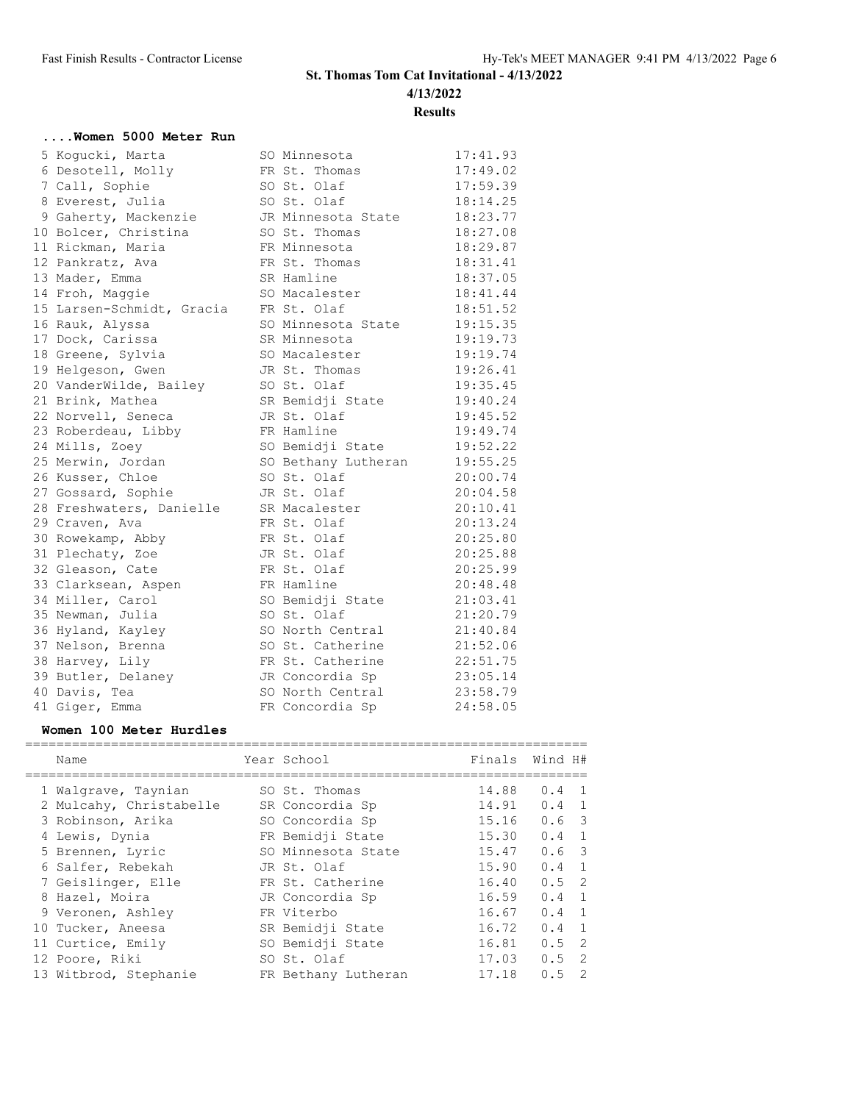**4/13/2022**

**Results**

| Women 5000 Meter Run      |                     |          |
|---------------------------|---------------------|----------|
| 5 Kogucki, Marta          | SO Minnesota        | 17:41.93 |
| 6 Desotell, Molly         | FR St. Thomas       | 17:49.02 |
| 7 Call, Sophie            | SO St. Olaf         | 17:59.39 |
| 8 Everest, Julia          | SO St. Olaf         | 18:14.25 |
| 9 Gaherty, Mackenzie      | JR Minnesota State  | 18:23.77 |
| 10 Bolcer, Christina      | SO St. Thomas       | 18:27.08 |
| 11 Rickman, Maria         | FR Minnesota        | 18:29.87 |
| 12 Pankratz, Ava          | FR St. Thomas       | 18:31.41 |
| 13 Mader, Emma            | SR Hamline          | 18:37.05 |
| 14 Froh, Maggie           | SO Macalester       | 18:41.44 |
| 15 Larsen-Schmidt, Gracia | FR St. Olaf         | 18:51.52 |
| 16 Rauk, Alyssa           | SO Minnesota State  | 19:15.35 |
| 17 Dock, Carissa          | SR Minnesota        | 19:19.73 |
| 18 Greene, Sylvia         | SO Macalester       | 19:19.74 |
| 19 Helgeson, Gwen         | JR St. Thomas       | 19:26.41 |
| 20 VanderWilde, Bailey    | SO St. Olaf         | 19:35.45 |
| 21 Brink, Mathea          | SR Bemidji State    | 19:40.24 |
| 22 Norvell, Seneca        | JR St. Olaf         | 19:45.52 |
| 23 Roberdeau, Libby       | FR Hamline          | 19:49.74 |
| 24 Mills, Zoey            | SO Bemidji State    | 19:52.22 |
| 25 Merwin, Jordan         | SO Bethany Lutheran | 19:55.25 |
| 26 Kusser, Chloe          | SO St. Olaf         | 20:00.74 |
| 27 Gossard, Sophie        | JR St. Olaf         | 20:04.58 |
| 28 Freshwaters, Danielle  | SR Macalester       | 20:10.41 |
| 29 Craven, Ava            | FR St. Olaf         | 20:13.24 |
| 30 Rowekamp, Abby         | FR St. Olaf         | 20:25.80 |
| 31 Plechaty, Zoe          | JR St. Olaf         | 20:25.88 |
| 32 Gleason, Cate          | FR St. Olaf         | 20:25.99 |
| 33 Clarksean, Aspen       | FR Hamline          | 20:48.48 |
| 34 Miller, Carol          | SO Bemidji State    | 21:03.41 |
| 35 Newman, Julia          | SO St. Olaf         | 21:20.79 |
| 36 Hyland, Kayley         | SO North Central    | 21:40.84 |
| 37 Nelson, Brenna         | SO St. Catherine    | 21:52.06 |
| 38 Harvey, Lily           | FR St. Catherine    | 22:51.75 |
| 39 Butler, Delaney        | JR Concordia Sp     | 23:05.14 |
| 40 Davis, Tea             | SO North Central    | 23:58.79 |
| 41 Giger, Emma            | FR Concordia Sp     | 24:58.05 |

## **Women 100 Meter Hurdles**

|  | Name                    | Year School         |       | Finals Wind H#                    |
|--|-------------------------|---------------------|-------|-----------------------------------|
|  | 1 Walgrave, Taynian     | SO St. Thomas       | 14.88 | $0.4 \quad 1$                     |
|  | 2 Mulcahy, Christabelle | SR Concordia Sp     | 14.91 | $0.4 \quad 1$                     |
|  | 3 Robinson, Arika       | SO Concordia Sp     | 15.16 | $0.6-3$                           |
|  | 4 Lewis, Dynia          | FR Bemidji State    | 15.30 | $0.4 \quad 1$                     |
|  | 5 Brennen, Lyric        | SO Minnesota State  | 15.47 | $0.6-3$                           |
|  | 6 Salfer, Rebekah       | JR St. Olaf         | 15.90 | $0.4 \quad 1$                     |
|  | 7 Geislinger, Elle      | FR St. Catherine    | 16.40 | $0.5 \quad 2$                     |
|  | 8 Hazel, Moira          | JR Concordia Sp     | 16.59 | $0.4 \quad 1$                     |
|  | 9 Veronen, Ashley       | FR Viterbo          | 16.67 | $0.4 \quad 1$                     |
|  | 10 Tucker, Aneesa       | SR Bemidji State    | 16.72 | $0.4 \quad 1$                     |
|  | 11 Curtice, Emily       | SO Bemidji State    | 16.81 | $0.5 \quad 2$                     |
|  | 12 Poore, Riki          | SO St. Olaf         | 17.03 | $0.5$ 2                           |
|  | 13 Witbrod, Stephanie   | FR Bethany Lutheran | 17.18 | $\overline{\phantom{0}}^2$<br>0.5 |
|  |                         |                     |       |                                   |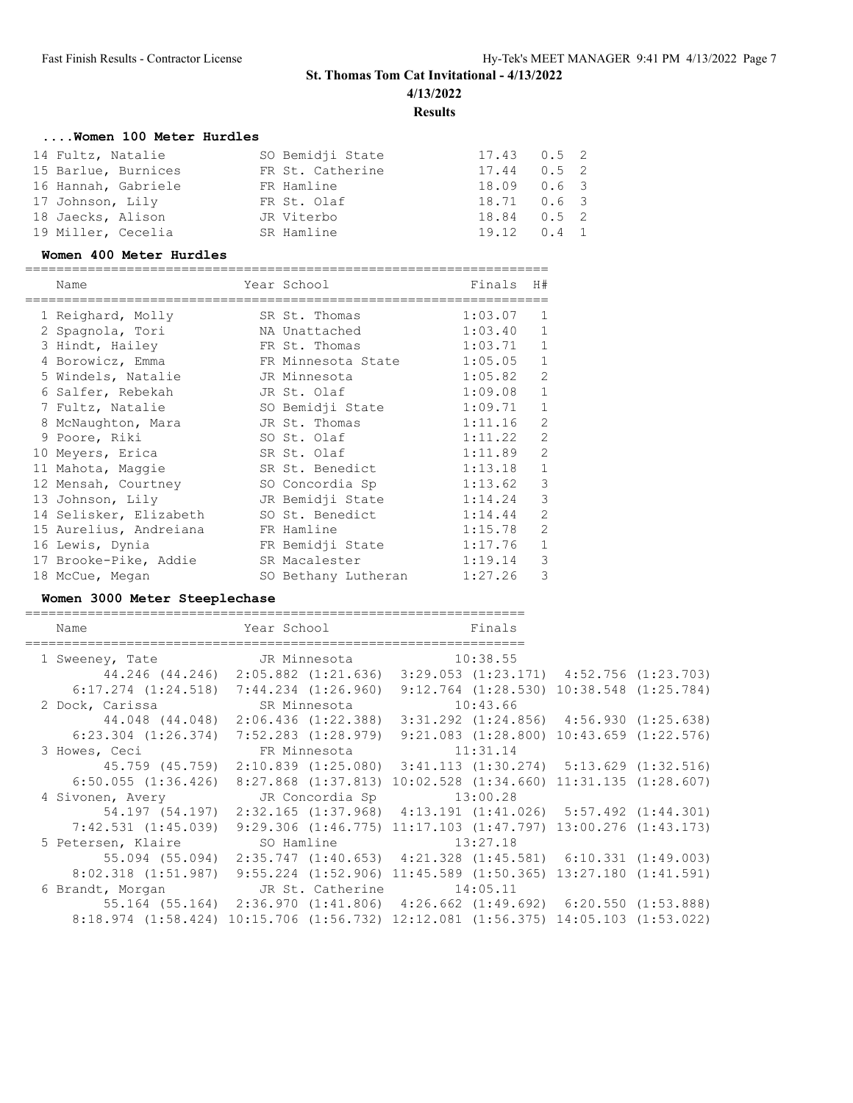# **St. Thomas Tom Cat Invitational - 4/13/2022 4/13/2022**

**Results**

## **....Women 100 Meter Hurdles**

| 14 Fultz, Natalie   | SO Bemidji State | $17.43$ 0.5 2       |  |
|---------------------|------------------|---------------------|--|
| 15 Barlue, Burnices | FR St. Catherine | $17.44$ 0.5 2       |  |
| 16 Hannah, Gabriele | FR Hamline       | 18.09 0.6 3         |  |
| 17 Johnson, Lily    | FR St. Olaf      | $18.71$ 0.6 3       |  |
| 18 Jaecks, Alison   | JR Viterbo       | $18.84$ 0.5 2       |  |
| 19 Miller, Cecelia  | SR Hamline       | $19.12 \t 0.4 \t 1$ |  |

#### **Women 400 Meter Hurdles**

| Name                   | Year School         | Finals  | H#             |
|------------------------|---------------------|---------|----------------|
| 1 Reighard, Molly      | SR St. Thomas       | 1:03.07 | $\mathbf{1}$   |
| 2 Spagnola, Tori       | NA Unattached       | 1:03.40 | $\mathbf{1}$   |
| 3 Hindt, Hailey        | FR St. Thomas       | 1:03.71 | $\mathbf{1}$   |
| 4 Borowicz, Emma       | FR Minnesota State  | 1:05.05 | $\mathbf{1}$   |
| 5 Windels, Natalie     | JR Minnesota        | 1:05.82 | $\overline{2}$ |
| 6 Salfer, Rebekah      | JR St. Olaf         | 1:09.08 | $\mathbf{1}$   |
| 7 Fultz, Natalie       | SO Bemidji State    | 1:09.71 | $\mathbf{1}$   |
| 8 McNaughton, Mara     | JR St. Thomas       | 1:11.16 | $\overline{2}$ |
| 9 Poore, Riki          | SO St. Olaf         | 1:11.22 | $\overline{2}$ |
| 10 Meyers, Erica       | SR St. Olaf         | 1:11.89 | $\overline{2}$ |
| 11 Mahota, Maggie      | SR St. Benedict     | 1:13.18 | $\mathbf{1}$   |
| 12 Mensah, Courtney    | SO Concordia Sp     | 1:13.62 | 3              |
| 13 Johnson, Lily       | JR Bemidji State    | 1:14.24 | 3              |
| 14 Selisker, Elizabeth | SO St. Benedict     | 1:14.44 | $\overline{2}$ |
| 15 Aurelius, Andreiana | FR Hamline          | 1:15.78 | $\overline{2}$ |
| 16 Lewis, Dynia        | FR Bemidji State    | 1:17.76 | $\mathbf{1}$   |
| 17 Brooke-Pike, Addie  | SR Macalester       | 1:19.14 | 3              |
| 18 McCue, Megan        | SO Bethany Lutheran | 1:27.26 | 3              |

### **Women 3000 Meter Steeplechase**

| Name                                       | Year School<br>============== | Finals                                                                                             |  |
|--------------------------------------------|-------------------------------|----------------------------------------------------------------------------------------------------|--|
| 1 Sweeney, Tate 5 JR Minnesota 55 10:38.55 |                               |                                                                                                    |  |
|                                            |                               | 44.246 (44.246) 2:05.882 (1:21.636) 3:29.053 (1:23.171) 4:52.756 (1:23.703)                        |  |
|                                            |                               | 6:17.274 (1:24.518) 7:44.234 (1:26.960) 9:12.764 (1:28.530) 10:38.548 (1:25.784)                   |  |
| 2 Dock, Carissa SR Minnesota 10:43.66      |                               |                                                                                                    |  |
|                                            |                               | 44.048 (44.048) 2:06.436 (1:22.388) 3:31.292 (1:24.856) 4:56.930 (1:25.638)                        |  |
|                                            |                               | $6:23.304$ $(1:26.374)$ $7:52.283$ $(1:28.979)$ $9:21.083$ $(1:28.800)$ $10:43.659$ $(1:22.576)$   |  |
| 3 Howes, Ceci <b>FR</b> Minnesota 11:31.14 |                               |                                                                                                    |  |
|                                            |                               | 45.759 (45.759) 2:10.839 (1:25.080) 3:41.113 (1:30.274) 5:13.629 (1:32.516)                        |  |
|                                            |                               | $6:50.055$ $(1:36.426)$ $8:27.868$ $(1:37.813)$ $10:02.528$ $(1:34.660)$ $11:31.135$ $(1:28.607)$  |  |
| 4 Sivonen, Avery 31:00.28                  |                               |                                                                                                    |  |
|                                            |                               | 54.197 (54.197) 2:32.165 (1:37.968) 4:13.191 (1:41.026) 5:57.492 (1:44.301)                        |  |
|                                            |                               | 7:42.531 (1:45.039) 9:29.306 (1:46.775) 11:17.103 (1:47.797) 13:00.276 (1:43.173)                  |  |
| 5 Petersen, Klaire SO Hamline 13:27.18     |                               |                                                                                                    |  |
|                                            |                               | $55.094$ (55.094) $2:35.747$ (1:40.653) $4:21.328$ (1:45.581) 6:10.331 (1:49.003)                  |  |
|                                            |                               | $8:02.318$ $(1:51.987)$ $9:55.224$ $(1:52.906)$ $11:45.589$ $(1:50.365)$ $13:27.180$ $(1:41.591)$  |  |
| 6 Brandt, Morgan JR St. Catherine 14:05.11 |                               |                                                                                                    |  |
|                                            |                               | 55.164 (55.164) 2:36.970 (1:41.806) 4:26.662 (1:49.692) 6:20.550 (1:53.888)                        |  |
|                                            |                               | $8:18.974$ $(1:58.424)$ $10:15.706$ $(1:56.732)$ $12:12.081$ $(1:56.375)$ $14:05.103$ $(1:53.022)$ |  |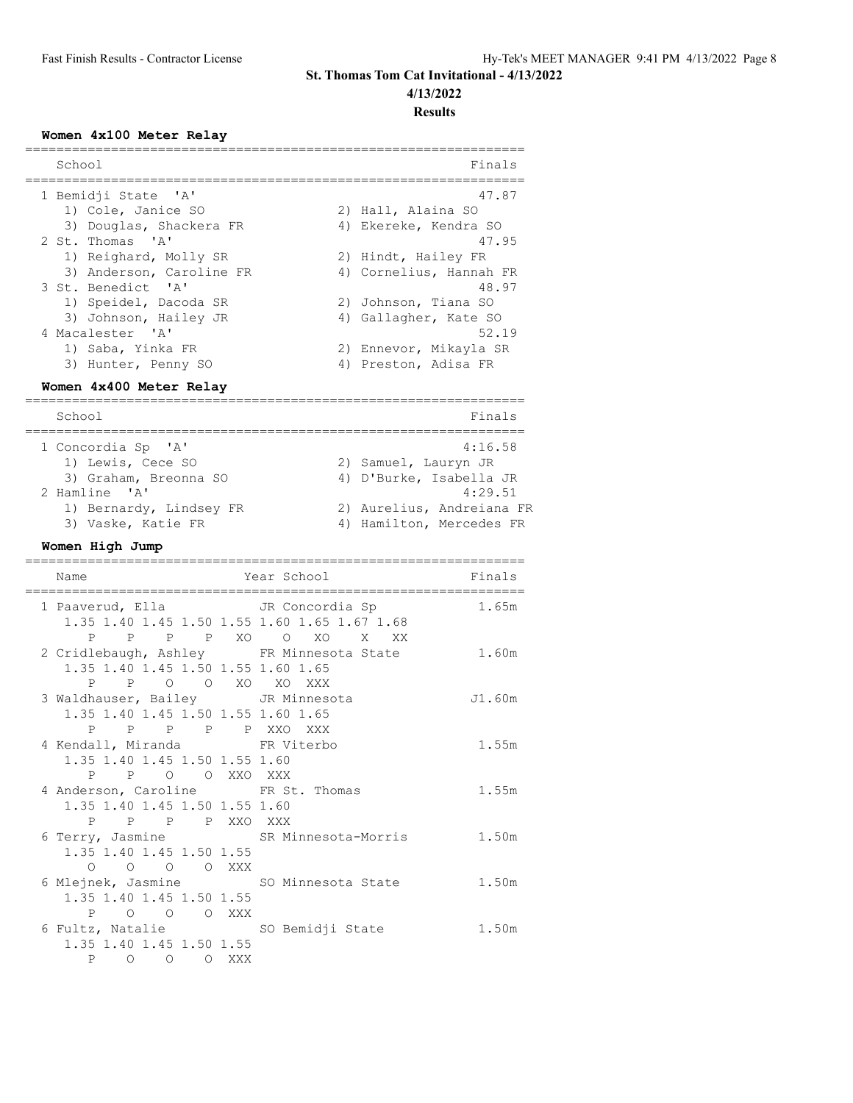# **4/13/2022**

# **Results**

## **Women 4x100 Meter Relay**

| School                   |                 |    | Finals                    |
|--------------------------|-----------------|----|---------------------------|
| 1 Bemidji State 'A'      |                 |    | 47.87                     |
| 1) Cole, Janice SO       |                 |    | 2) Hall, Alaina SO        |
| 3) Douglas, Shackera FR  |                 |    | 4) Ekereke, Kendra SO     |
| 2 St. Thomas 'A'         |                 |    | 47.95                     |
| 1) Reighard, Molly SR    |                 |    | 2) Hindt, Hailey FR       |
| 3) Anderson, Caroline FR |                 |    | 4) Cornelius, Hannah FR   |
| 3 St. Benedict 'A'       |                 |    | 48.97                     |
| 1) Speidel, Dacoda SR    |                 | 2) | Johnson, Tiana SO         |
| 3) Johnson, Hailey JR    |                 |    | 4) Gallagher, Kate SO     |
| 4 Macalester 'A'         |                 |    | 52.19                     |
| 1) Saba, Yinka FR        |                 |    | 2) Ennevor, Mikayla SR    |
| 3) Hunter, Penny SO      |                 |    | 4) Preston, Adisa FR      |
| Women 4x400 Meter Relay  |                 |    |                           |
| School                   |                 |    | Finals                    |
| 1 Concordia Sp 'A'       |                 |    | 4:16.58                   |
| 1) Lewis, Cece SO        |                 |    | 2) Samuel, Lauryn JR      |
| 3) Graham, Breonna SO    |                 |    | 4) D'Burke, Isabella JR   |
| 2 Hamline 'A'            |                 |    | 4:29.51                   |
| 1) Bernardy, Lindsey FR  |                 |    | 2) Aurelius, Andreiana FR |
| 3) Vaske, Katie FR       |                 | 4) | Hamilton, Mercedes FR     |
| Women High Jump          |                 |    |                           |
|                          |                 |    |                           |
| Name                     | Year School     |    | Finals                    |
|                          |                 |    |                           |
| 1 Paaverud, Ella         | JR Concordia Sp |    | 1.65m                     |

| 1 Paaverud, Ella Martin JR Concordia Sp |                                                | 1.65m  |
|-----------------------------------------|------------------------------------------------|--------|
|                                         | 1.35 1.40 1.45 1.50 1.55 1.60 1.65 1.67 1.68   |        |
|                                         | P P P P XO O XO X XX                           |        |
|                                         | 2 Cridlebaugh, Ashley FR Minnesota State 1.60m |        |
| 1.35 1.40 1.45 1.50 1.55 1.60 1.65      |                                                |        |
| PPO OXOXOXXX                            |                                                |        |
| 3 Waldhauser, Bailey JR Minnesota       |                                                | J1.60m |
| 1.35 1.40 1.45 1.50 1.55 1.60 1.65      |                                                |        |
| P P P P P XXO XXX                       |                                                |        |
| 4 Kendall, Miranda KR Viterbo           |                                                | 1.55m  |
| 1.35 1.40 1.45 1.50 1.55 1.60           |                                                |        |
| P P O O XXO XXX                         |                                                |        |
|                                         |                                                |        |
| 4 Anderson, Caroline FR St. Thomas      |                                                | 1.55m  |
| 1.35 1.40 1.45 1.50 1.55 1.60           |                                                |        |
| PPPPPXXOXXX                             |                                                |        |
|                                         | 6 Terry, Jasmine SR Minnesota-Morris 1.50m     |        |
| 1.35 1.40 1.45 1.50 1.55                |                                                |        |
| 0 0 0 0 XXX                             |                                                |        |
|                                         | 6 Mlejnek, Jasmine SO Minnesota State          | 1.50m  |
| 1.35 1.40 1.45 1.50 1.55                |                                                |        |
| P O O O XXX                             |                                                |        |
| 6 Fultz, Natalie SO Bemidji State       |                                                | 1.50m  |
| 1.35 1.40 1.45 1.50 1.55<br>P O O O XXX |                                                |        |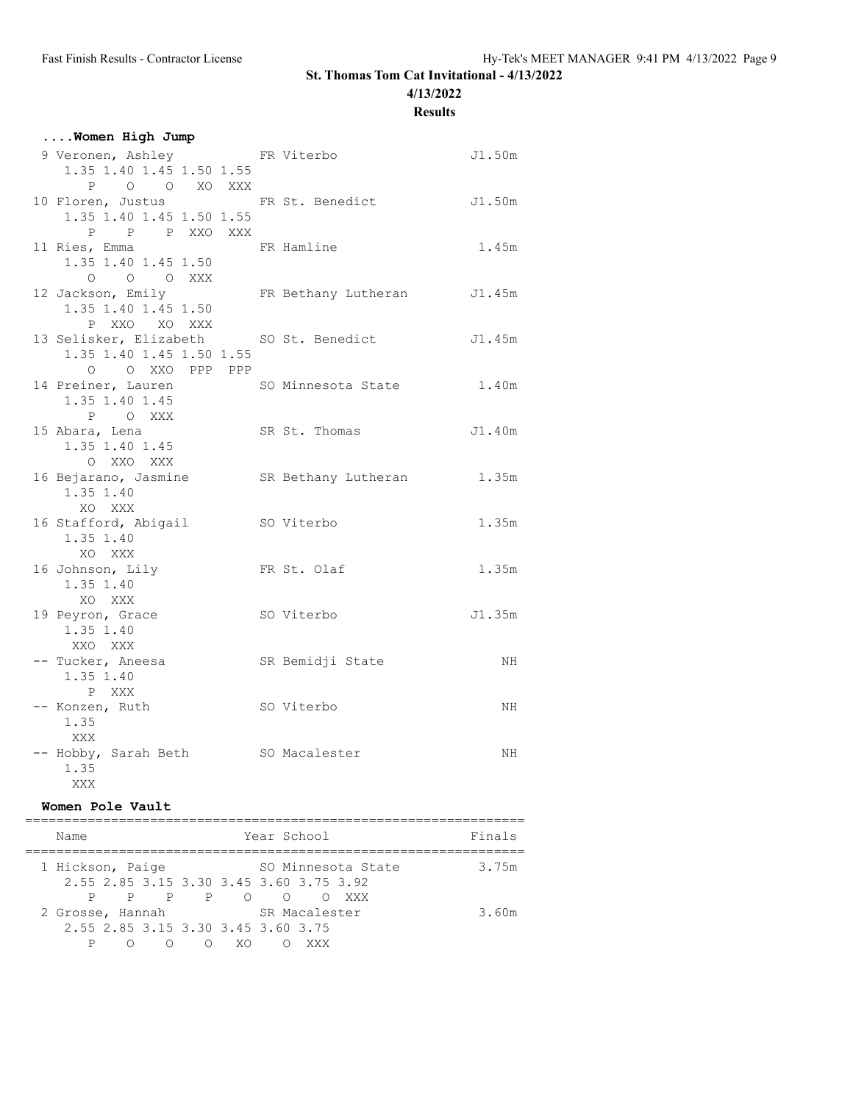**4/13/2022**

# **Results**

| Women High Jump                                                                       |                            |        |
|---------------------------------------------------------------------------------------|----------------------------|--------|
| 9 Veronen, Ashley<br>1.35 1.40 1.45 1.50 1.55<br>P O O XO XXX                         | FR Viterbo                 | J1.50m |
| 10 Floren, Justus TR St. Benedict 51.50m<br>1.35 1.40 1.45 1.50 1.55<br>P P P XXO XXX |                            |        |
| 11 Ries, Emma<br>1.35 1.40 1.45 1.50<br>O O O XXX                                     | FR Hamline                 | 1.45m  |
| 12 Jackson, Emily<br>1.35 1.40 1.45 1.50<br>P XXO XO XXX                              | FR Bethany Lutheran J1.45m |        |
| 13 Selisker, Elizabeth SO St. Benedict<br>1.35 1.40 1.45 1.50 1.55<br>0 0 XXO PPP PPP |                            | J1.45m |
| 14 Preiner, Lauren<br>1.35 1.40 1.45<br>P OXXX                                        | SO Minnesota State         | 1.40m  |
| 15 Abara, Lena<br>1.35 1.40 1.45<br>O XXO XXX                                         | SR St. Thomas              | J1.40m |
| 16 Bejarano, Jasmine SR Bethany Lutheran<br>1.35 1.40<br>XO XXX                       |                            | 1.35m  |
| 16 Stafford, Abigail<br>1.35 1.40<br>XO XXX                                           | SO Viterbo                 | 1.35m  |
| 16 Johnson, Lily<br>1.35 1.40<br>XO XXX                                               | FR St. Olaf                | 1.35m  |
| 19 Peyron, Grace<br>1.35 1.40<br>XXO XXX                                              | SO Viterbo                 | J1.35m |
| -- Tucker, Aneesa<br>1.35 1.40<br>P XXX                                               | SR Bemidji State           | NH.    |
| -- Konzen, Ruth<br>1.35<br><b>XXX</b>                                                 | SO Viterbo                 | NH.    |
| -- Hobby, Sarah Beth SO Macalester<br>1.35<br>XXX X                                   |                            | NH     |

# **Women Pole Vault**

| Year School<br>Finals<br>Name                                                              |  |
|--------------------------------------------------------------------------------------------|--|
| 1 Hickson, Paige<br>SO Minnesota State<br>3.75m<br>2.55 2.85 3.15 3.30 3.45 3.60 3.75 3.92 |  |
| $P$ $P$ $P$ $O$<br>$\circ$<br>XXX.<br>SR Macalester<br>3.60m<br>2 Grosse, Hannah           |  |
| 2.55 2.85 3.15 3.30 3.45 3.60 3.75<br>XΟ                                                   |  |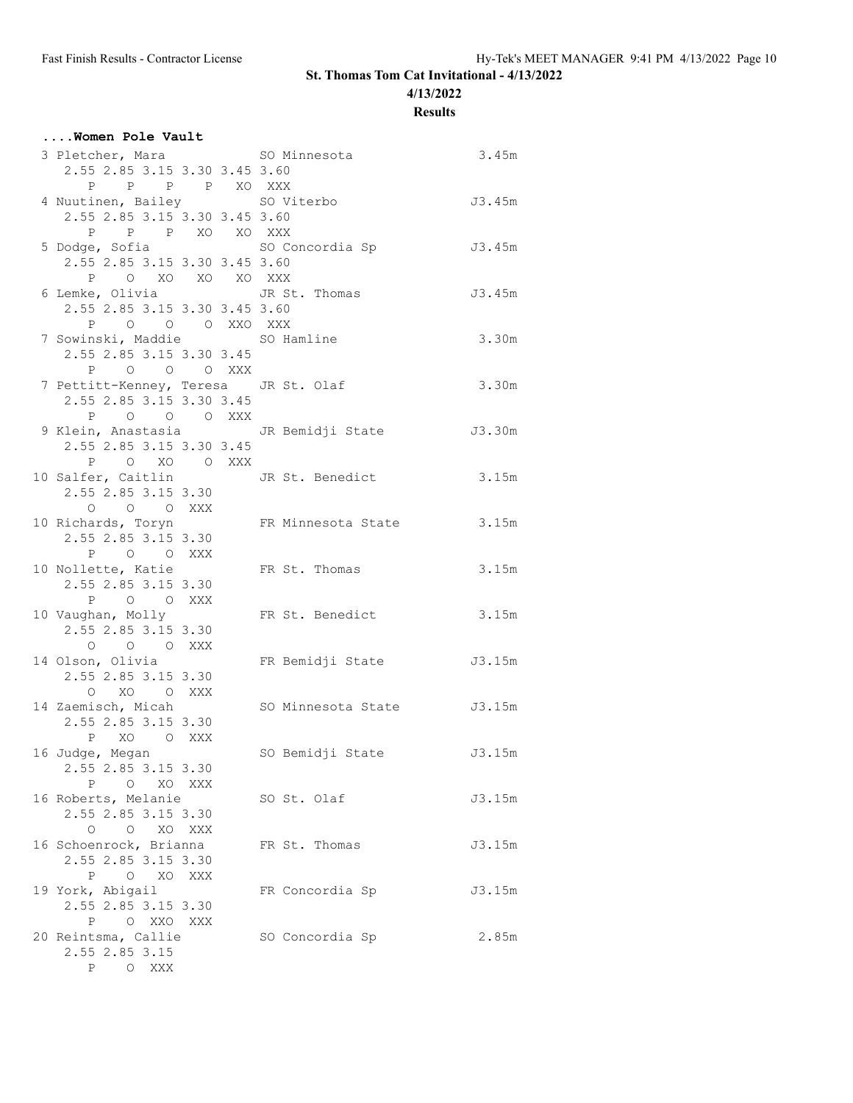**4/13/2022**

**Results**

| Women Pole Vault                                 |                                               |        |
|--------------------------------------------------|-----------------------------------------------|--------|
| 3 Pletcher, Mara SO Minnesota                    |                                               | 3.45m  |
| 2.55 2.85 3.15 3.30 3.45 3.60                    |                                               |        |
| P P P P XO XXX                                   |                                               |        |
| 4 Nuutinen, Bailey SO Viterbo                    |                                               | J3.45m |
| 2.55 2.85 3.15 3.30 3.45 3.60                    |                                               |        |
| P P P XO XO XXX                                  |                                               |        |
| 5 Dodge, Sofia en SO Concordia Sp                |                                               | J3.45m |
| 2.55 2.85 3.15 3.30 3.45 3.60                    |                                               |        |
| P O XO XO XO XXX                                 |                                               |        |
| 6 Lemke, Olivia Golf JR St. Thomas               |                                               | J3.45m |
| 2.55 2.85 3.15 3.30 3.45 3.60                    |                                               |        |
| P O O O XXO XXX<br>7 Sowinski, Maddie SO Hamline |                                               | 3.30m  |
| 2.55 2.85 3.15 3.30 3.45                         |                                               |        |
| P O O O XXX                                      |                                               |        |
| 7 Pettitt-Kenney, Teresa JR St. Olaf             |                                               | 3.30m  |
| 2.55 2.85 3.15 3.30 3.45                         |                                               |        |
| P O O O XXX                                      |                                               |        |
|                                                  | 9 Klein, Anastasia (JR Bemidji State (J3.30m) |        |
| 2.55 2.85 3.15 3.30 3.45                         |                                               |        |
| P O XO O XXX                                     |                                               |        |
| 10 Salfer, Caitlin JR St. Benedict               |                                               | 3.15m  |
| 2.55 2.85 3.15 3.30                              |                                               |        |
| O O O XXX                                        |                                               |        |
| 10 Richards, Toryn                               | FR Minnesota State 3.15m                      |        |
| 2.55 2.85 3.15 3.30                              |                                               |        |
| P O O XXX                                        |                                               |        |
| 10 Nollette, Katie<br>2.55 2.85 3.15 3.30        | FR St. Thomas                                 | 3.15m  |
| P O O XXX                                        |                                               |        |
| 10 Vaughan, Molly                                | FR St. Benedict                               | 3.15m  |
| 2.55 2.85 3.15 3.30                              |                                               |        |
| O O O XXX                                        |                                               |        |
| 14 Olson, Olivia                                 | FR Bemidji State                              | J3.15m |
| 2.55 2.85 3.15 3.30                              |                                               |        |
| O XO O XXX                                       |                                               |        |
| 14 Zaemisch, Micah                               | SO Minnesota State J3.15m                     |        |
| 2.55 2.85 3.15 3.30                              |                                               |        |
| P XO O XXX                                       |                                               |        |
| 16 Judge, Megan                                  | SO Bemidji State                              | J3.15m |
| 2.55 2.85 3.15 3.30<br>P O XO XXX                |                                               |        |
| 16 Roberts, Melanie                              | SO St. Olaf                                   | J3.15m |
| 2.55 2.85 3.15 3.30                              |                                               |        |
| O O XO XXX                                       |                                               |        |
| 16 Schoenrock, Brianna                           | FR St. Thomas                                 | J3.15m |
| 2.55 2.85 3.15 3.30                              |                                               |        |
| P O XO XXX                                       |                                               |        |
| 19 York, Abigail                                 | FR Concordia Sp                               | J3.15m |
| 2.55 2.85 3.15 3.30                              |                                               |        |
| P O XXO XXX                                      |                                               |        |
| 20 Reintsma, Callie                              | SO Concordia Sp                               | 2.85m  |
| 2.55 2.85 3.15                                   |                                               |        |
| P O XXX                                          |                                               |        |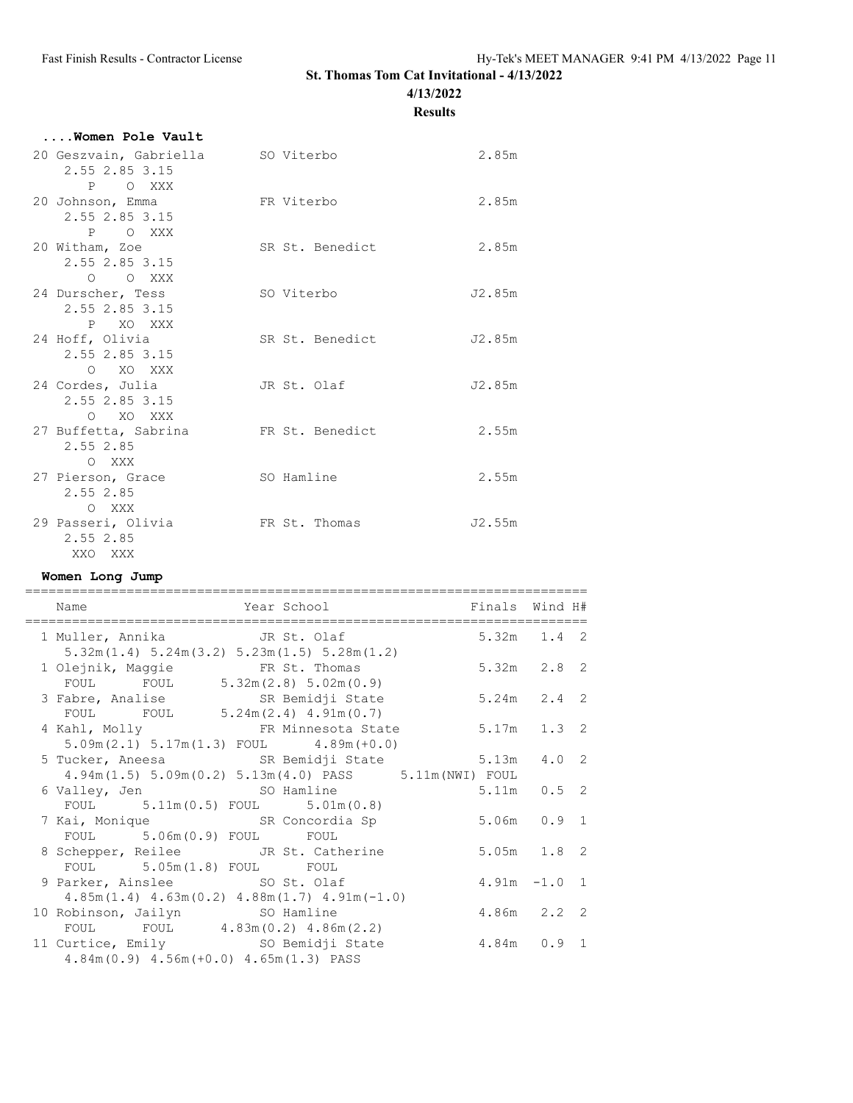**4/13/2022**

**Results**

| Women Pole Vault                                        |                  |       |
|---------------------------------------------------------|------------------|-------|
| 20 Geszvain, Gabriella                                  | SO Viterbo       | 2.85m |
| 2.55 2.85 3.15                                          |                  |       |
| O XXX<br>P                                              |                  |       |
| 20 Johnson, Emma                                        | FR Viterbo       | 2.85m |
| 2.55 2.85 3.15                                          |                  |       |
| P O XXX                                                 |                  |       |
| 20 Witham, Zoe                                          | SR St. Benedict  | 2.85m |
| 2.55 2.85 3.15                                          |                  |       |
| O XXX<br>∩                                              |                  |       |
| $24$ B $\cdots$ $\cdots$ $\cdots$ B $\cdots$ B $\cdots$ | $00.777 + 0.025$ | TO OF |

| 24 Durscher, Tess    | SO Viterbo      | J2.85m |
|----------------------|-----------------|--------|
| 2.55 2.85 3.15       |                 |        |
| P<br>XO XXX          |                 |        |
| 24 Hoff, Olivia      | SR St. Benedict | J2.85m |
| 2.55 2.85 3.15       |                 |        |
| XO XXX<br>$\Omega$   |                 |        |
| 24 Cordes, Julia     | JR St. Olaf     | J2.85m |
| 2.55 2.85 3.15       |                 |        |
| O XO XXX             |                 |        |
| 27 Buffetta, Sabrina | FR St. Benedict | 2.55m  |
| 2.55 2.85            |                 |        |
| O XXX                |                 |        |
| 27 Pierson, Grace    | SO Hamline      | 2.55m  |
| 2.55 2.85            |                 |        |
| O XXX                |                 |        |
| 29 Passeri, Olivia   | FR St. Thomas   | J2.55m |
| 2.55 2.85            |                 |        |
| XXO XXX              |                 |        |

#### **Women Long Jump**

| Name                                                                                                     | Year School <a> setting particle of the Finals Wind H#<br/>==========================</a> |                 |  |
|----------------------------------------------------------------------------------------------------------|-------------------------------------------------------------------------------------------|-----------------|--|
| 1 Muller, Annika JR St. Olaf<br>$5.32m(1.4)$ $5.24m(3.2)$ $5.23m(1.5)$ $5.28m(1.2)$                      |                                                                                           | $5.32m$ $1.4$ 2 |  |
| 1 Olejnik, Maggie FR St. Thomas<br>FOUL FOUL 5.32m(2.8) 5.02m(0.9)                                       |                                                                                           | $5.32m$ $2.8$ 2 |  |
| 3 Fabre, Analise SR Bemidji State<br>FOUL FOUL $5.24m(2.4) 4.91m(0.7)$                                   |                                                                                           | $5.24m$ $2.4$ 2 |  |
| 4 Kahl, Molly 6.17m 1.3 2<br>$5.09m(2.1) 5.17m(1.3)$ FOUL $4.89m(+0.0)$                                  |                                                                                           |                 |  |
| 5 Tucker, Aneesa SR Bemidji State 5.13m 4.0 2<br>$4.94m(1.5)$ 5.09m(0.2) 5.13m(4.0) PASS 5.11m(NWI) FOUL |                                                                                           |                 |  |
| FOUL $5.11m(0.5)$ FOUL $5.01m(0.8)$                                                                      |                                                                                           | 5.11m  0.5  2   |  |
| 7 Kai, Monique SR Concordia Sp<br>FOUL 5.06m (0.9) FOUL FOUL                                             |                                                                                           | 5.06m 0.9 1     |  |
| 8 Schepper, Reilee JR St. Catherine<br>FOUL 5.05m(1.8) FOUL FOUL                                         |                                                                                           | 5.05m 1.8 2     |  |
| 9 Parker, Ainslee SO St. Olaf<br>$4.85m(1.4)$ $4.63m(0.2)$ $4.88m(1.7)$ $4.91m(-1.0)$                    |                                                                                           | $4.91m - 1.01$  |  |
| 10 Robinson, Jailyn SO Hamline<br>FOUL FOUL $4.83m(0.2) 4.86m(2.2)$                                      |                                                                                           | 4.86m 2.2 2     |  |
| 11 Curtice, Emily SO Bemidji State<br>$4.84m(0.9)$ $4.56m(+0.0)$ $4.65m(1.3)$ PASS                       | 4.84m 0.9 1                                                                               |                 |  |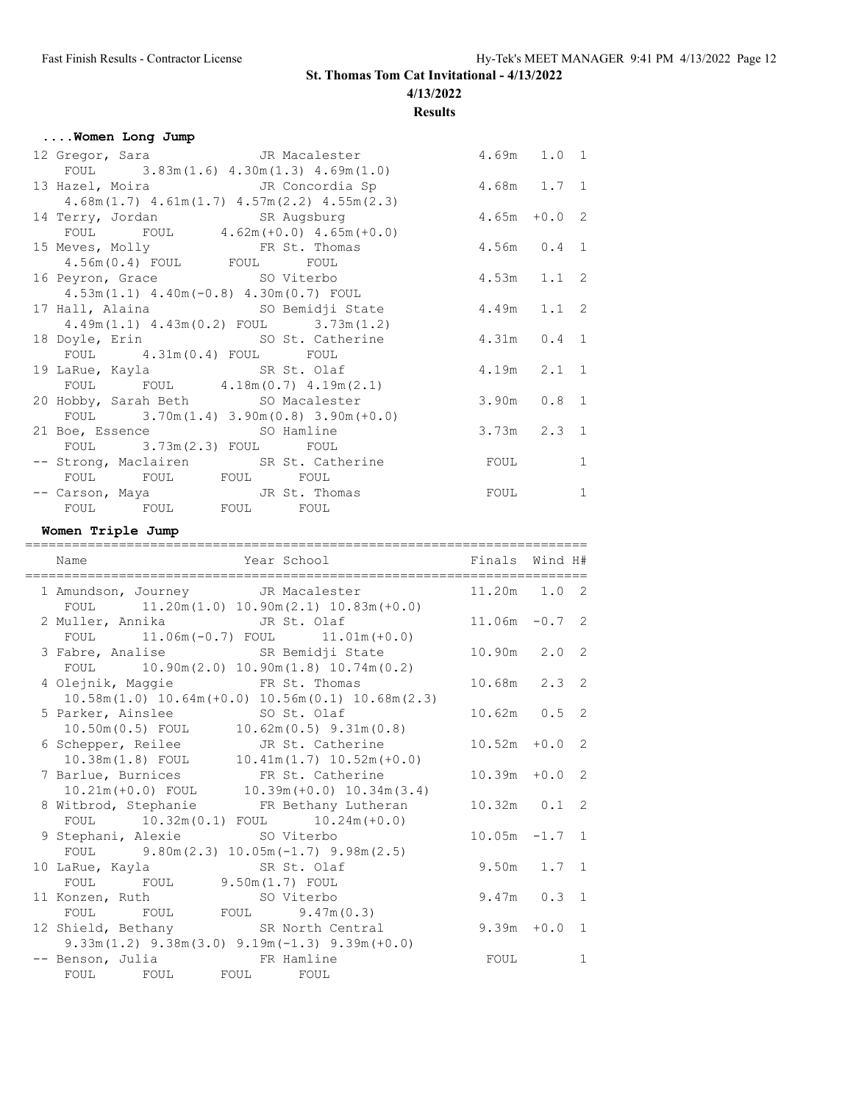**4/13/2022**

### **Results**

| Women Long Jump |                                                     |                 |                 |              |
|-----------------|-----------------------------------------------------|-----------------|-----------------|--------------|
|                 | 12 Gregor, Sara Macalester                          | $4.69m$ $1.0$ 1 |                 |              |
|                 | FOUL $3.83m(1.6) 4.30m(1.3) 4.69m(1.0)$             |                 |                 |              |
|                 | 13 Hazel, Moira Martin JR Concordia Sp              | 4.68m 1.7 1     |                 |              |
|                 | $4.68m(1.7)$ $4.61m(1.7)$ $4.57m(2.2)$ $4.55m(2.3)$ |                 |                 |              |
|                 | 14 Terry, Jordan SR Augsburg                        | $4.65m + 0.02$  |                 |              |
|                 | FOUL FOUL 4.62m (+0.0) 4.65m (+0.0)                 |                 |                 |              |
|                 | 15 Meves, Molly FR St. Thomas                       | $4.56m$ 0.4 1   |                 |              |
|                 | $4.56m(0.4)$ FOUL FOUL FOUL                         |                 |                 |              |
|                 | 16 Peyron, Grace SO Viterbo                         | $4.53m$ $1.1$ 2 |                 |              |
|                 | $4.53m(1.1)$ $4.40m(-0.8)$ $4.30m(0.7)$ FOUL        |                 |                 |              |
|                 | 17 Hall, Alaina (50 Bemidji State                   | 4.49m 1.1 2     |                 |              |
|                 | $4.49m(1.1)$ $4.43m(0.2)$ FOUL $3.73m(1.2)$         |                 |                 |              |
|                 | 18 Doyle, Erin SO St. Catherine                     | 4.31m  0.4  1   |                 |              |
|                 | FOUL 4.31m(0.4) FOUL FOUL                           |                 |                 |              |
|                 | 19 LaRue, Kayla SR St. Olaf                         | $4.19m$ $2.1$ 1 |                 |              |
|                 | FOUL FOUL 4.18m (0.7) 4.19m (2.1)                   |                 |                 |              |
|                 | 20 Hobby, Sarah Beth SO Macalester                  | $3.90m$ $0.8$ 1 |                 |              |
|                 | FOUL $3.70m(1.4) 3.90m(0.8) 3.90m(+0.0)$            |                 |                 |              |
|                 | 21 Boe, Essence SO Hamline                          |                 | $3.73m$ $2.3$ 1 |              |
|                 | FOUL 3.73m(2.3) FOUL FOUL                           |                 |                 |              |
|                 | -- Strong, Maclairen SR St. Catherine               | <b>FOUL</b>     |                 | $\mathbf{1}$ |
|                 | FOUL FOUL FOUL FOUL FOUL                            |                 |                 |              |
|                 | -- Carson, Maya JR St. Thomas                       | <b>FOUL</b>     |                 | $\mathbf{1}$ |
|                 | FOUL FOUL FOUL FOUL FOUL                            |                 |                 |              |

**Women Triple Jump**

| Name                                                                                          | Year School                                    | Finals Wind H#   |   |
|-----------------------------------------------------------------------------------------------|------------------------------------------------|------------------|---|
| FOUL $11.20m(1.0) 10.90m(2.1) 10.83m(+0.0)$                                                   | 1 Amundson, Journey JR Macalester 11.20m 1.0 2 |                  |   |
| 2 Muller, Annika JR St. Olaf<br>FOUL $11.06m(-0.7)$ FOUL $11.01m(+0.0)$                       |                                                | $11.06m - 0.72$  |   |
| 3 Fabre, Analise SR Bemidji State<br>FOUL $10.90m(2.0) 10.90m(1.8) 10.74m(0.2)$               |                                                | $10.90m$ $2.0$ 2 |   |
| 4 Olejnik, Maggie 6 FR St. Thomas<br>$10.58m(1.0)$ $10.64m(+0.0)$ $10.56m(0.1)$ $10.68m(2.3)$ |                                                | 10.68m 2.3 2     |   |
| 5 Parker, Ainslee SO St. Olaf<br>$10.50m(0.5)$ FOUL $10.62m(0.5)$ 9.31m(0.8)                  |                                                | $10.62m$ $0.5$ 2 |   |
| 6 Schepper, Reilee JR St. Catherine<br>$10.38m(1.8)$ FOUL $10.41m(1.7)$ $10.52m(+0.0)$        |                                                | $10.52m + 0.02$  |   |
| 7 Barlue, Burnices TR St. Catherine<br>$10.21m (+0.0)$ FOUL $10.39m (+0.0)$ $10.34m (3.4)$    |                                                | $10.39m + 0.02$  |   |
| 8 Witbrod, Stephanie FR Bethany Lutheran<br>FOUL $10.32m(0.1)$ FOUL $10.24m(+0.0)$            |                                                | $10.32m$ $0.1$ 2 |   |
| 9 Stephani, Alexie SO Viterbo<br>FOUL $9.80m(2.3) 10.05m(-1.7) 9.98m(2.5)$                    |                                                | $10.05m - 1.71$  |   |
| 10 LaRue, Kayla SR St. Olaf<br>FOUL FOUL 9.50m(1.7) FOUL                                      |                                                | $9.50m$ 1.7 1    |   |
| 11 Konzen, Ruth SO Viterbo<br>FOUL FOUL FOUL 9.47m (0.3)                                      |                                                | 9.47m  0.3  1    |   |
| 12 Shield, Bethany SR North Central<br>$9.33m(1.2)$ $9.38m(3.0)$ $9.19m(-1.3)$ $9.39m(+0.0)$  |                                                | $9.39m + 0.0$ 1  |   |
| -- Benson, Julia Kamine<br>FOUL FOUL                                                          | FOUL FOUL                                      | FOUL             | 1 |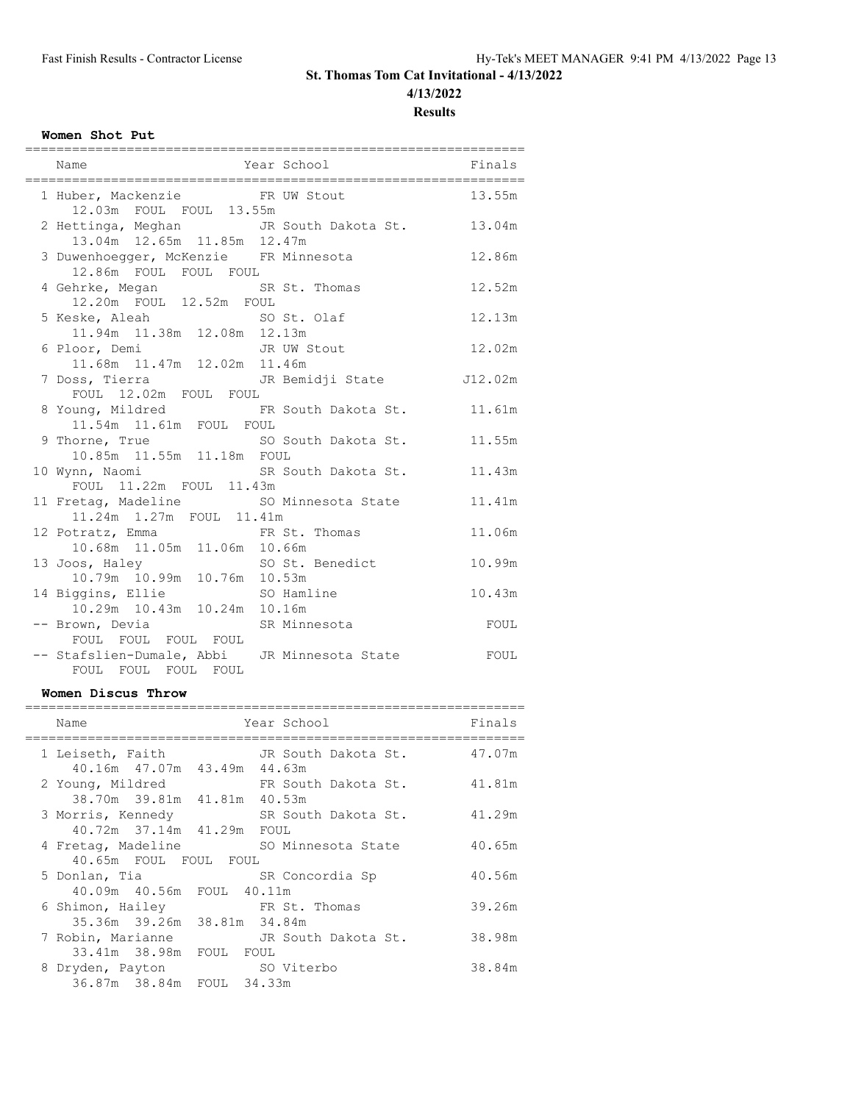**4/13/2022**

**Results**

## **Women Shot Put**

| Name                                                                            | Year School Finals |        |
|---------------------------------------------------------------------------------|--------------------|--------|
| 1 Huber, Mackenzie 6 FR UW Stout 13.55m<br>12.03m FOUL FOUL 13.55m              |                    |        |
| 2 Hettinga, Meghan JR South Dakota St. 13.04m<br>13.04m  12.65m  11.85m  12.47m |                    |        |
| 3 Duwenhoegger, McKenzie FR Minnesota<br>12.86m FOUL FOUL FOUL                  |                    | 12.86m |
| 4 Gehrke, Megan SR St. Thomas<br>12.20m FOUL 12.52m FOUL                        |                    | 12.52m |
| 5 Keske, Aleah SO St. Olaf<br>11.94m  11.38m  12.08m  12.13m                    |                    | 12.13m |
| 11.68m  11.47m  12.02m  11.46m                                                  |                    |        |
| 7 Doss, Tierra Martin UR Bemidji State 112.02m<br>FOUL 12.02m FOUL FOUL         |                    |        |
| 8 Young, Mildred 6 FR South Dakota St. 11.61m<br>11.54m  11.61m  FOUL  FOUL     |                    |        |
| 9 Thorne, True 50 South Dakota St.<br>10.85m 11.55m 11.18m FOUL                 |                    | 11.55m |
| 10 Wynn, Naomi<br>FOUL 11.22m FOUL 11.43m<br>TOUL 11.22m FOUL 11.43m            |                    |        |
| 11 Fretag, Madeline 50 Minnesota State<br>11.24m  1.27m  FOUL  11.41m           |                    | 11.41m |
| 12 Potratz, Emma FR St. Thomas<br>10.68m  11.05m  11.06m  10.66m                |                    | 11.06m |
| 13 Joos, Haley                                                                  | SO St. Benedict    | 10.99m |
| 14 Biggins, Ellie SO Hamline<br>10.29m  10.43m  10.24m  10.16m                  |                    | 10.43m |
| -- Brown, Devia SR Minnesota<br>FOUL FOUL FOUL FOUL                             |                    | FOUL   |
| -- Stafslien-Dumale, Abbi JR Minnesota State<br>FOUL FOUL FOUL FOUL             |                    | FOUL   |

### **Women Discus Throw**

| Name                                                                     | Year School         |                     | Finals |
|--------------------------------------------------------------------------|---------------------|---------------------|--------|
| 1 Leiseth, Faith<br>40.16m 47.07m 43.49m 44.63m                          |                     | JR South Dakota St. | 47.07m |
| 2 Young, Mildred<br>38.70m 39.81m 41.81m 40.53m                          | FR South Dakota St. |                     | 41.81m |
| 3 Morris, Kennedy SR South Dakota St.<br>40.72m 37.14m 41.29m FOUL       |                     |                     | 41.29m |
| 4 Fretag, Madeline                                                       | SO Minnesota State  |                     | 40.65m |
| 40.65m FOUL FOUL FOUL<br>5 Donlan, Tia                                   | SR Concordia Sp     |                     | 40.56m |
| 40.09m 40.56m FOUL 40.11m<br>6 Shimon, Hailey                            | FR St. Thomas       |                     | 39.26m |
| 35.36m 39.26m 38.81m 34.84m<br>7 Robin, Marianne                         | JR South Dakota St. |                     | 38.98m |
| 33.41m 38.98m FOUL FOUL<br>8 Dryden, Payton<br>36.87m 38.84m FOUL 34.33m | SO Viterbo          |                     | 38.84m |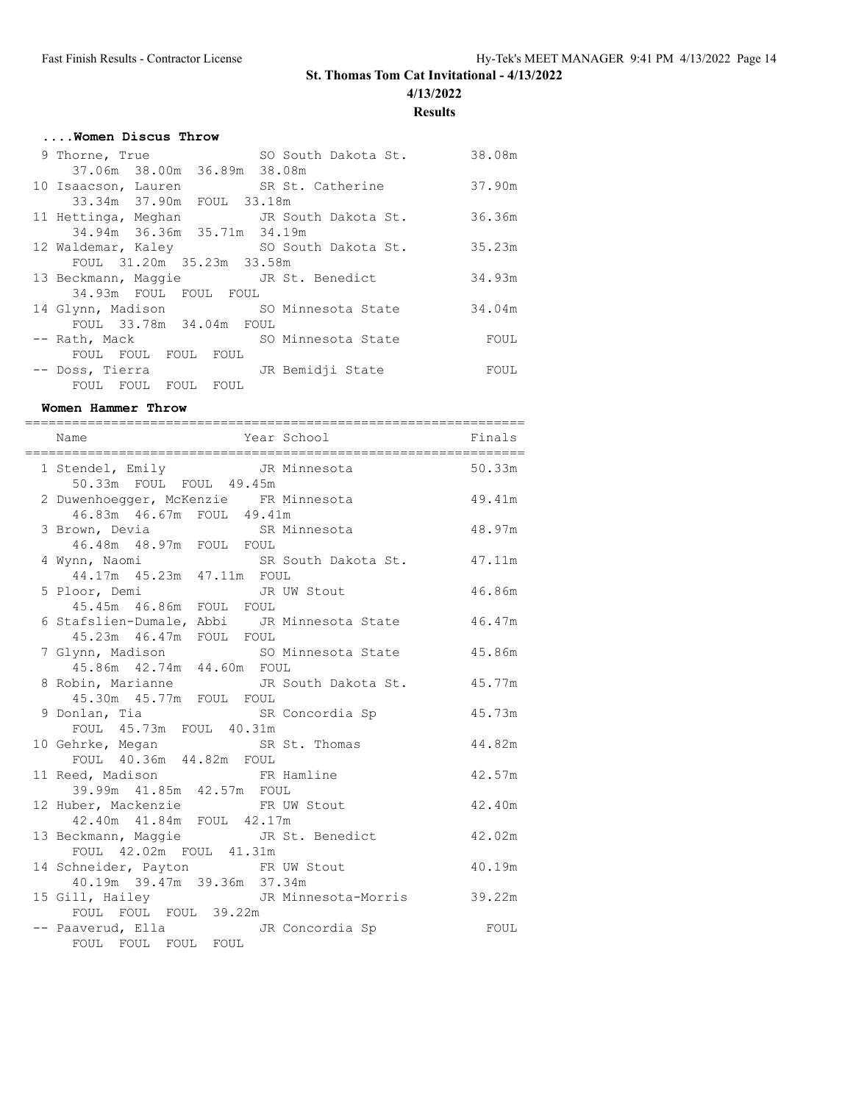**4/13/2022**

**Results**

| Women Discus Throw                               |        |  |  |  |
|--------------------------------------------------|--------|--|--|--|
| SO South Dakota St.<br>9 Thorne, True            | 38.08m |  |  |  |
| 37.06m 38.00m 36.89m 38.08m                      |        |  |  |  |
| SR St. Catherine<br>10 Isaacson, Lauren          | 37.90m |  |  |  |
| 33.34m 37.90m FOUL 33.18m                        |        |  |  |  |
| 11 Hettinga, Meghan JR South Dakota St.          | 36.36m |  |  |  |
| 34.94m 36.36m 35.71m 34.19m                      |        |  |  |  |
| 12 Waldemar, Kaley SO South Dakota St.           | 35.23m |  |  |  |
| FOUL 31.20m 35.23m 33.58m                        |        |  |  |  |
| 13 Beckmann, Maggie <a> JR<br/> St. Benedict</a> | 34.93m |  |  |  |
| 34.93m FOUL FOUL FOUL                            |        |  |  |  |
| 14 Glynn, Madison SO Minnesota State             | 34.04m |  |  |  |
| FOUL 33.78m 34.04m FOUL                          |        |  |  |  |
| SO Minnesota State<br>-- Rath, Mack              | FOUL   |  |  |  |
| FOUL FOUL FOUL<br>FOUL                           |        |  |  |  |
| JR Bemidji State<br>-- Doss, Tierra              | FOUL   |  |  |  |
| FOUL FOUL<br>FOUL<br><b>FOUL</b>                 |        |  |  |  |

#### **Women Hammer Throw**

| Year School Finals<br>Name                                                       |        |
|----------------------------------------------------------------------------------|--------|
| 1 Stendel, Emily TR Minnesota 50.33m<br>50.33m FOUL FOUL 49.45m                  |        |
| 2 Duwenhoegger, McKenzie FR Minnesota                                            | 49.41m |
| 46.83m  46.67m  FOUL  49.41m<br>3 Brown, Devia<br>46.48m 48.97m FOUL FOUL        | 48.97m |
|                                                                                  |        |
| 4 Wynn, Naomi SR South Dakota St. 47.11m<br>44.17m 45.23m 47.11m FOUL            |        |
| 5 Ploor, Demi JR UW Stout                                                        | 46.86m |
| 45.45m  46.86m  FOUL  FOUL<br>6 Stafslien-Dumale, Abbi JR Minnesota State 46.47m |        |
| 45.23m  46.47m  FOUL  FOUL                                                       |        |
| 7 Glynn, Madison so Minnesota State 45.86m<br>45.86m 42.74m 44.60m FOUL          |        |
| 8 Robin, Marianne MR South Dakota St. 45.77m                                     |        |
| 45.30m  45.77m  FOUL  FOUL                                                       |        |
| 9 Donlan, Tia and SR Concordia Sp<br>FOUL 45.73m FOUL 40.31m                     | 45.73m |
| 10 Gehrke, Megan SR St. Thomas<br>FOUL 40.36m 44.82m FOUL                        | 44.82m |
|                                                                                  |        |
| 11 Reed, Madison FR Hamline<br>39.99m  41.85m  42.57m  FOUL                      | 42.57m |
| 12 Huber, Mackenzie FR UW Stout                                                  | 42.40m |
| 42.40m  41.84m  FOUL  42.17m<br>13 Beckmann, Maggie <a> JR<br/> St. Benedict</a> | 42.02m |
| FOUL 42.02m FOUL 41.31m                                                          |        |
| 14 Schneider, Payton FR UW Stout                                                 | 40.19m |
| 40.19m 39.47m 39.36m 37.34m<br>15 Gill, Hailey CJR Minnesota-Morris 39.22m       |        |
| FOUL FOUL FOUL 39.22m                                                            |        |
| -- Paaverud, Ella JR Concordia Sp<br>FOUL FOUL FOUL FOUL                         | FOUL   |
|                                                                                  |        |